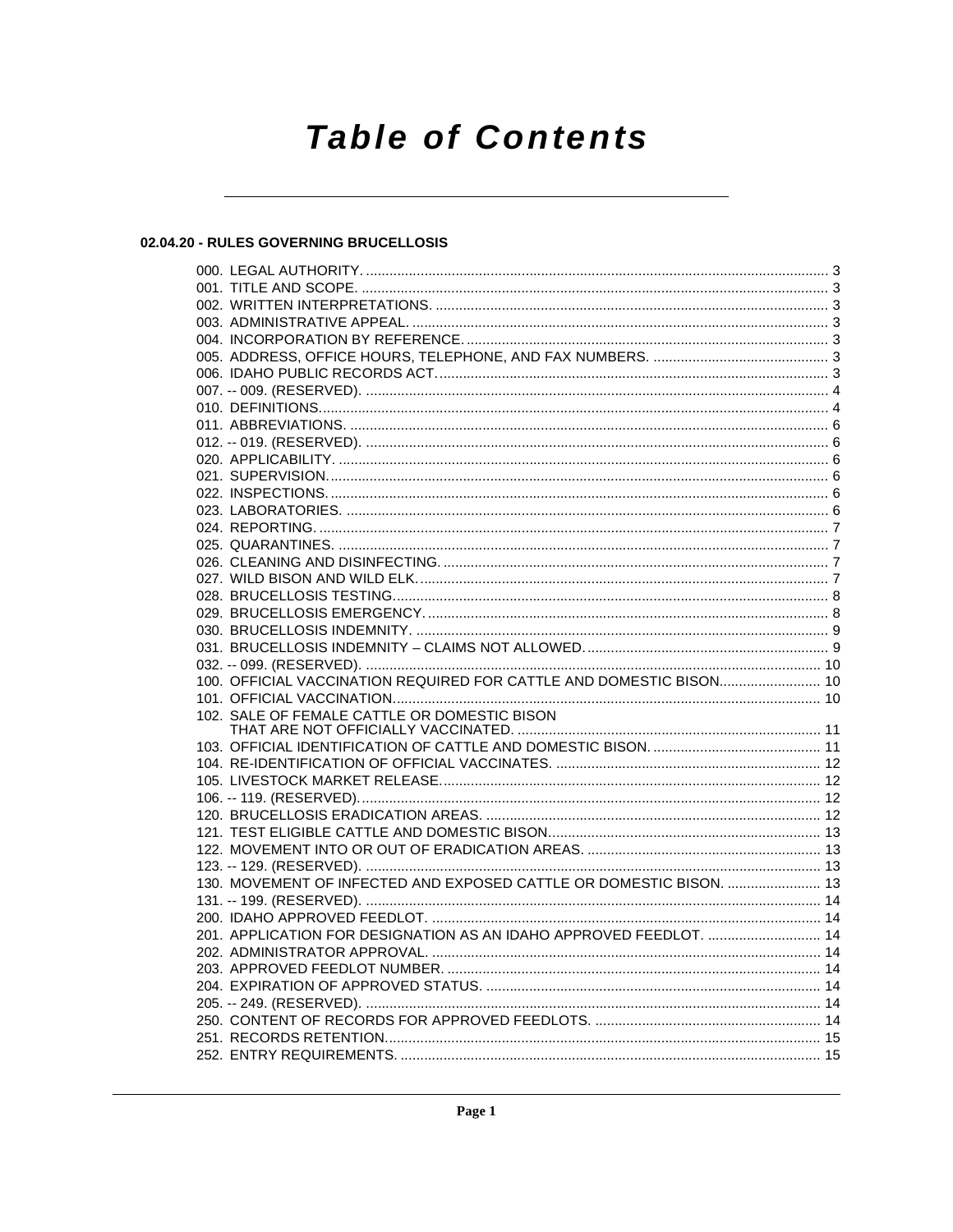# **Table of Contents**

# 02.04.20 - RULES GOVERNING BRUCELLOSIS

| 100. OFFICIAL VACCINATION REQUIRED FOR CATTLE AND DOMESTIC BISON 10 |  |
|---------------------------------------------------------------------|--|
|                                                                     |  |
| 102. SALE OF FEMALE CATTLE OR DOMESTIC BISON                        |  |
|                                                                     |  |
|                                                                     |  |
|                                                                     |  |
|                                                                     |  |
|                                                                     |  |
|                                                                     |  |
|                                                                     |  |
|                                                                     |  |
| 130. MOVEMENT OF INFECTED AND EXPOSED CATTLE OR DOMESTIC BISON.  13 |  |
|                                                                     |  |
|                                                                     |  |
| 201. APPLICATION FOR DESIGNATION AS AN IDAHO APPROVED FEEDLOT.  14  |  |
|                                                                     |  |
|                                                                     |  |
|                                                                     |  |
|                                                                     |  |
|                                                                     |  |
|                                                                     |  |
|                                                                     |  |
|                                                                     |  |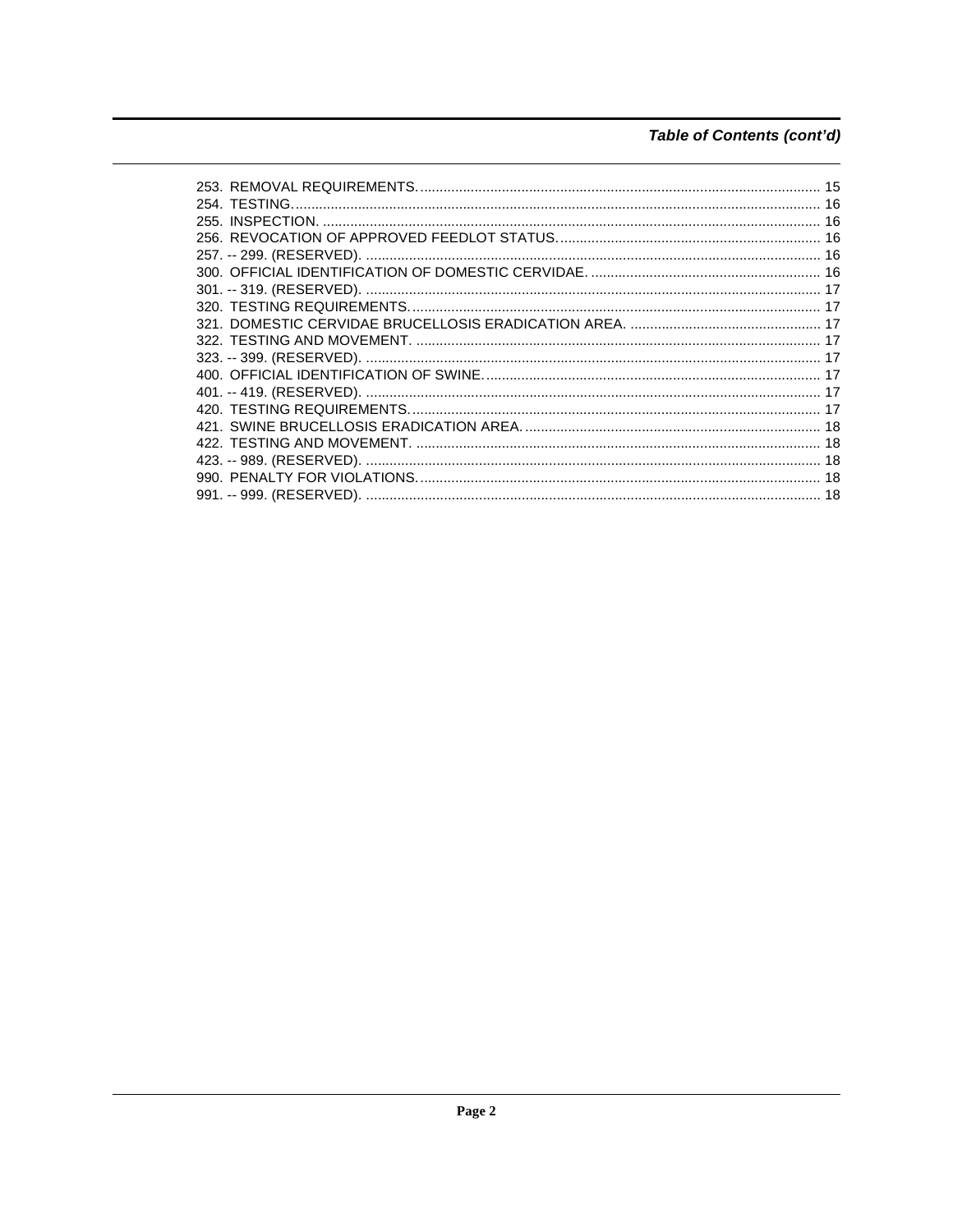# Table of Contents (cont'd)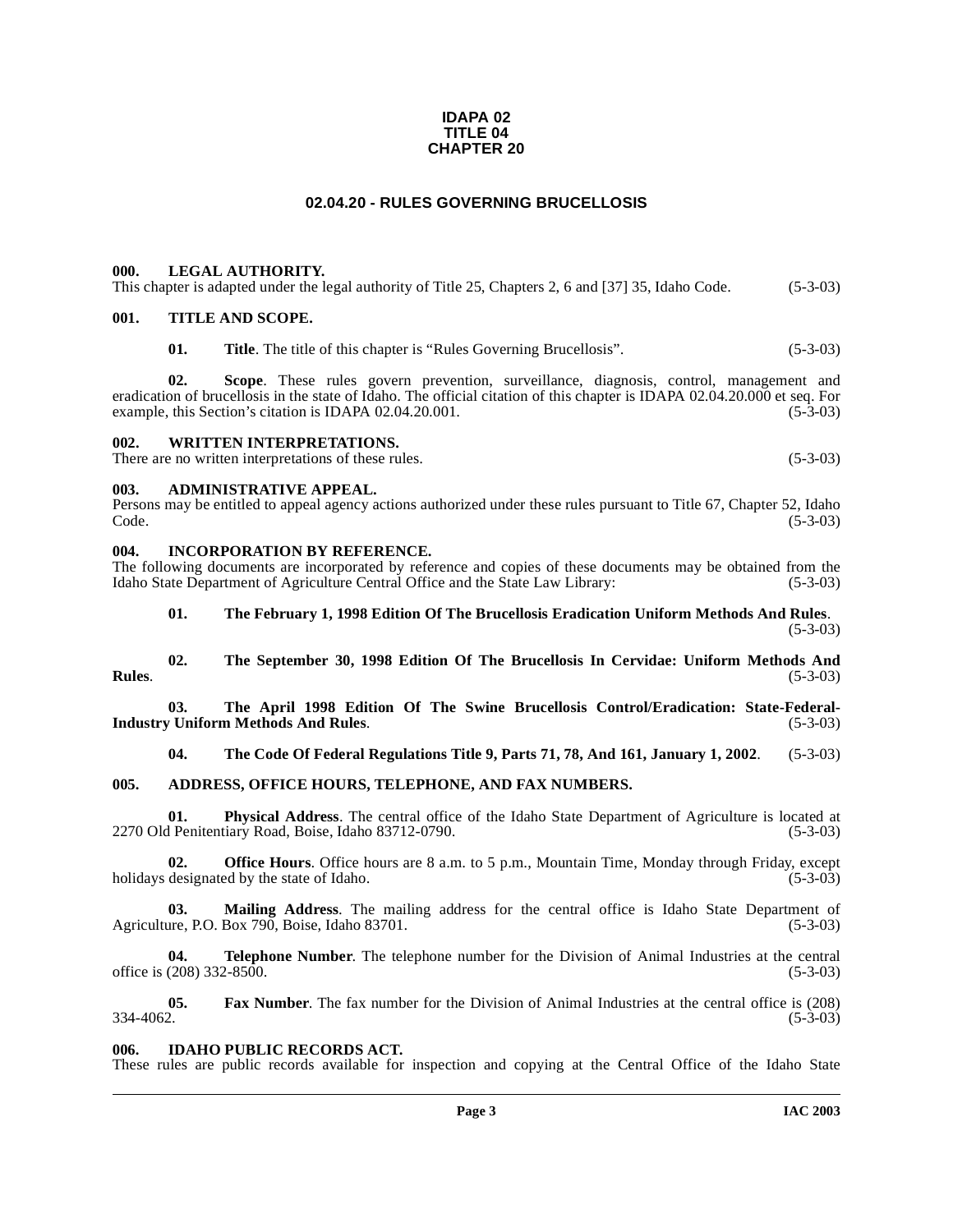#### **IDAPA 02 TITLE 04 CHAPTER 20**

# **02.04.20 - RULES GOVERNING BRUCELLOSIS**

#### <span id="page-2-1"></span><span id="page-2-0"></span>**000. LEGAL AUTHORITY.**

| This chapter is adapted under the legal authority of Title 25, Chapters 2, 6 and [37] 35, Idaho Code. |  |  |  | $(5-3-03)$ |
|-------------------------------------------------------------------------------------------------------|--|--|--|------------|
|-------------------------------------------------------------------------------------------------------|--|--|--|------------|

#### <span id="page-2-2"></span>**001. TITLE AND SCOPE.**

**01.** Title. The title of this chapter is "Rules Governing Brucellosis". (5-3-03)

**02. Scope**. These rules govern prevention, surveillance, diagnosis, control, management and eradication of brucellosis in the state of Idaho. The official citation of this chapter is IDAPA 02.04.20.000 et seq. For example, this Section's citation is IDAPA 02.04.20.001. example, this Section's citation is IDAPA 02.04.20.001.

#### <span id="page-2-3"></span>**002. WRITTEN INTERPRETATIONS.**

There are no written interpretations of these rules. (5-3-03)

#### <span id="page-2-4"></span>**003. ADMINISTRATIVE APPEAL.**

Persons may be entitled to appeal agency actions authorized under these rules pursuant to Title 67, Chapter 52, Idaho  $\text{Code.}$  (5-3-03)

#### <span id="page-2-5"></span>**004. INCORPORATION BY REFERENCE.**

The following documents are incorporated by reference and copies of these documents may be obtained from the Idaho State Department of Agriculture Central Office and the State Law Library: (5-3-03)

#### **01. The February 1, 1998 Edition Of The Brucellosis Eradication Uniform Methods And Rules**. (5-3-03)

**02. The September 30, 1998 Edition Of The Brucellosis In Cervidae: Uniform Methods And Rules**. (5-3-03)

03. The April 1998 Edition Of The Swine Brucellosis Control/Eradication: State-Federal-<br>
v Uniform Methods And Rules. (5-3-03) **Industry Uniform Methods And Rules.** 

**04. The Code Of Federal Regulations Title 9, Parts 71, 78, And 161, January 1, 2002**. (5-3-03)

#### <span id="page-2-6"></span>**005. ADDRESS, OFFICE HOURS, TELEPHONE, AND FAX NUMBERS.**

**01.** Physical Address. The central office of the Idaho State Department of Agriculture is located at Penitentiary Road, Boise, Idaho 83712-0790. (5-3-03) 2270 Old Penitentiary Road, Boise, Idaho 83712-0790.

**02. Office Hours**. Office hours are 8 a.m. to 5 p.m., Mountain Time, Monday through Friday, except holidays designated by the state of Idaho. (5-3-03)

**03.** Mailing Address. The mailing address for the central office is Idaho State Department of are, P.O. Box 790, Boise, Idaho 83701. (5-3-03) Agriculture, P.O. Box 790, Boise, Idaho 83701.

**04. Telephone Number**. The telephone number for the Division of Animal Industries at the central office is (208) 332-8500. (5-3-03)

**05.** Fax Number. The fax number for the Division of Animal Industries at the central office is (208) <br>(5-3-03)  $334-4062.$  (5-3-03)

#### <span id="page-2-7"></span>**006. IDAHO PUBLIC RECORDS ACT.**

These rules are public records available for inspection and copying at the Central Office of the Idaho State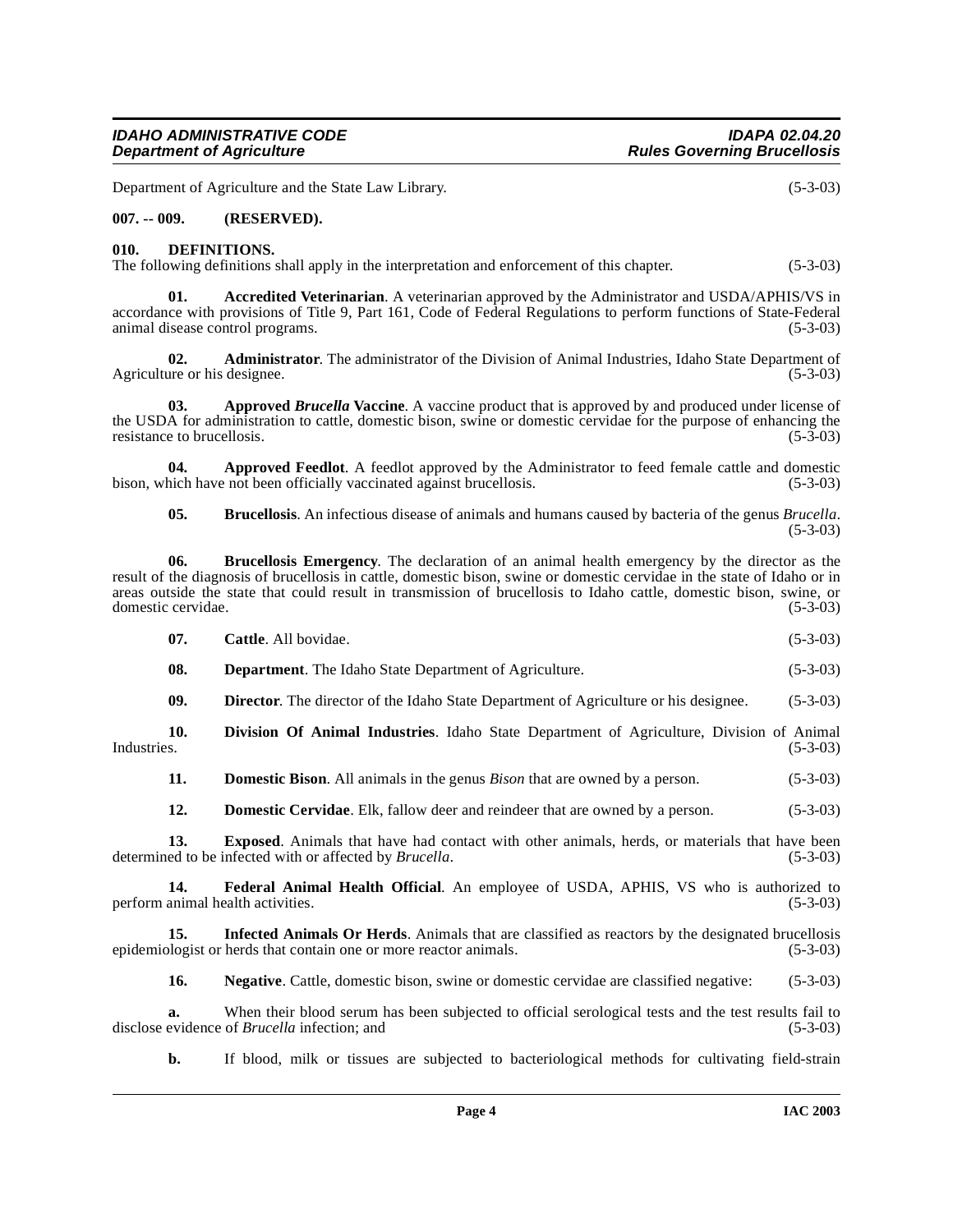# **IDAHO ADMINISTRATIVE CODE IDAPA 02.04.20**

Department of Agriculture and the State Law Library. (5-3-03)

#### <span id="page-3-0"></span>**007. -- 009. (RESERVED).**

#### <span id="page-3-7"></span><span id="page-3-1"></span>**010. DEFINITIONS.**

The following definitions shall apply in the interpretation and enforcement of this chapter.  $(5-3-03)$ 

<span id="page-3-2"></span>**01. Accredited Veterinarian**. A veterinarian approved by the Administrator and USDA/APHIS/VS in accordance with provisions of Title 9, Part 161, Code of Federal Regulations to perform functions of State-Federal animal disease control programs. (5-3-03)

**02. Administrator**. The administrator of the Division of Animal Industries, Idaho State Department of are or his designee. (5-3-03) Agriculture or his designee.

<span id="page-3-3"></span>**03.** Approved *Brucella* Vaccine. A vaccine product that is approved by and produced under license of the USDA for administration to cattle, domestic bison, swine or domestic cervidae for the purpose of enhancing the resistance to brucellosis. (5-3-03) resistance to brucellosis.

**04.** Approved Feedlot. A feedlot approved by the Administrator to feed female cattle and domestic bison, which have not been officially vaccinated against brucellosis. (5-3-03)

<span id="page-3-6"></span><span id="page-3-5"></span><span id="page-3-4"></span>**05. Brucellosis**. An infectious disease of animals and humans caused by bacteria of the genus *Brucella*. (5-3-03)

**06. Brucellosis Emergency**. The declaration of an animal health emergency by the director as the result of the diagnosis of brucellosis in cattle, domestic bison, swine or domestic cervidae in the state of Idaho or in areas outside the state that could result in transmission of brucellosis to Idaho cattle, domestic bison, swine, or domestic cervidae. (5-3-03) domestic cervidae.

**08. Department**. The Idaho State Department of Agriculture. (5-3-03)

<span id="page-3-8"></span>**09. Director**. The director of the Idaho State Department of Agriculture or his designee. (5-3-03)

**10. Division Of Animal Industries**. Idaho State Department of Agriculture, Division of Animal Industries. (5-3-03)

<span id="page-3-9"></span>**11. Domestic Bison**. All animals in the genus *Bison* that are owned by a person. (5-3-03)

<span id="page-3-11"></span><span id="page-3-10"></span>**12. Domestic Cervidae**. Elk, fallow deer and reindeer that are owned by a person. (5-3-03)

**13. Exposed**. Animals that have had contact with other animals, herds, or materials that have been determined to be infected with or affected by *Brucella*. (5-3-03)

**14. Federal Animal Health Official**. An employee of USDA, APHIS, VS who is authorized to perform animal health activities. (5-3-03)

**15. Infected Animals Or Herds**. Animals that are classified as reactors by the designated brucellosis epidemiologist or herds that contain one or more reactor animals. (5-3-03)

<span id="page-3-13"></span><span id="page-3-12"></span>**16.** Negative. Cattle, domestic bison, swine or domestic cervidae are classified negative: (5-3-03)

**a.** When their blood serum has been subjected to official serological tests and the test results fail to evidence of *Brucella* infection; and (5-3-03) disclose evidence of *Brucella* infection; and

**b.** If blood, milk or tissues are subjected to bacteriological methods for cultivating field-strain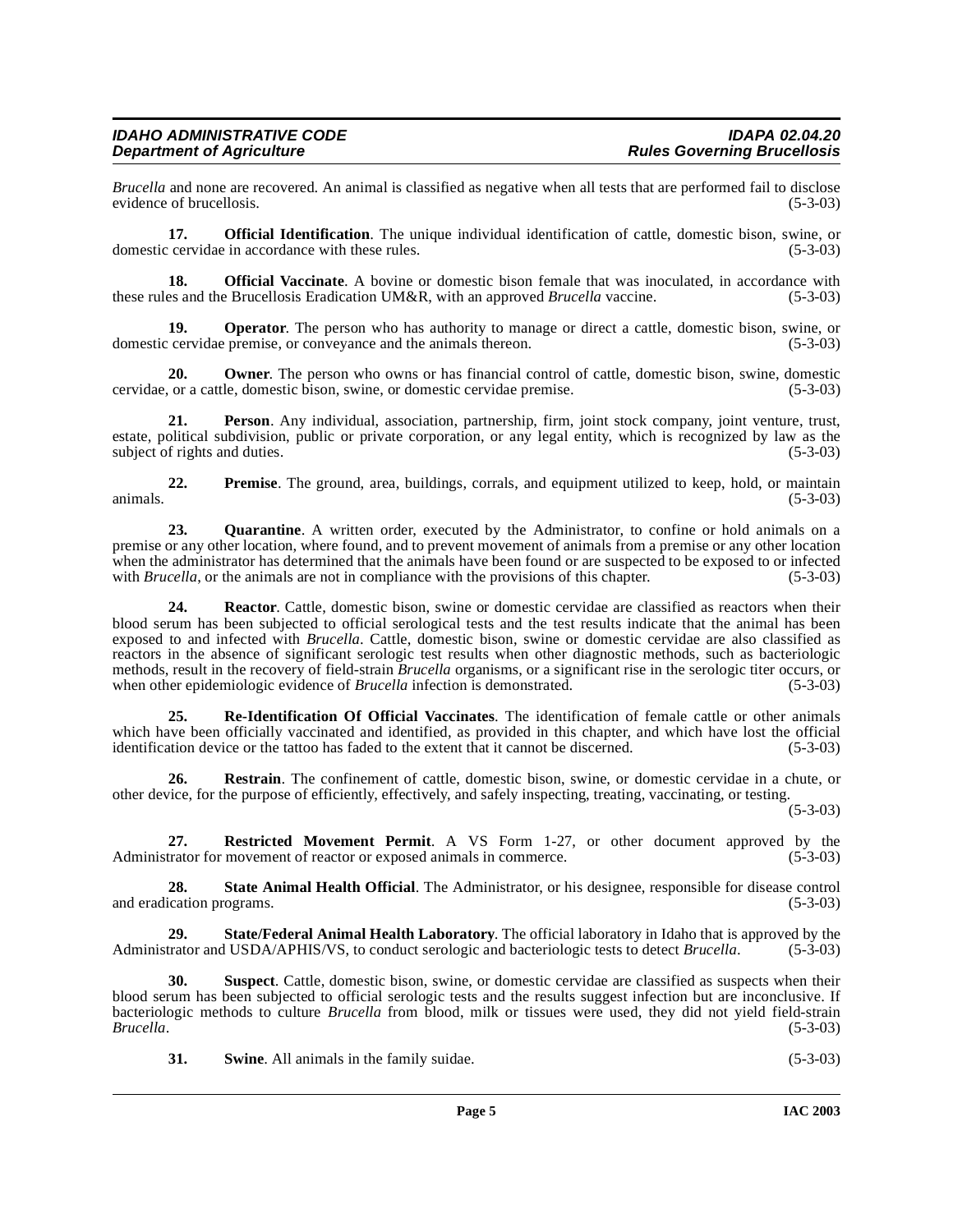*Brucella* and none are recovered. An animal is classified as negative when all tests that are performed fail to disclose evidence of brucellosis. (5-3-03)

**17. Official Identification**. The unique individual identification of cattle, domestic bison, swine, or domestic cervidae in accordance with these rules. (5-3-03)

<span id="page-4-0"></span>**18. Official Vaccinate**. A bovine or domestic bison female that was inoculated, in accordance with es and the Brucellosis Eradication UM&R, with an approved *Brucella* vaccine. (5-3-03) these rules and the Brucellosis Eradication UM&R, with an approved *Brucella* vaccine.

**19. Operator**. The person who has authority to manage or direct a cattle, domestic bison, swine, or domestic cervidae premise, or conveyance and the animals thereon. (5-3-03)

**20. Owner**. The person who owns or has financial control of cattle, domestic bison, swine, domestic or a cattle, domestic bison, swine, or domestic cervidae premise. (5-3-03) cervidae, or a cattle, domestic bison, swine, or domestic cervidae premise.

**21. Person**. Any individual, association, partnership, firm, joint stock company, joint venture, trust, estate, political subdivision, public or private corporation, or any legal entity, which is recognized by law as the subject of rights and duties. (5-3-03) subject of rights and duties.

**22. Premise**. The ground, area, buildings, corrals, and equipment utilized to keep, hold, or maintain animals.  $(5-3-03)$ 

<span id="page-4-1"></span>**23. Quarantine**. A written order, executed by the Administrator, to confine or hold animals on a premise or any other location, where found, and to prevent movement of animals from a premise or any other location when the administrator has determined that the animals have been found or are suspected to be exposed to or infected with *Brucella*, or the animals are not in compliance with the provisions of this chapter. (5-3-03)

**24. Reactor**. Cattle, domestic bison, swine or domestic cervidae are classified as reactors when their blood serum has been subjected to official serological tests and the test results indicate that the animal has been exposed to and infected with *Brucella*. Cattle, domestic bison, swine or domestic cervidae are also classified as reactors in the absence of significant serologic test results when other diagnostic methods, such as bacteriologic methods, result in the recovery of field-strain *Brucella* organisms, or a significant rise in the serologic titer occurs, or when other epidemiologic evidence of *Brucella* infection is demonstrated. (5-3-03) when other epidemiologic evidence of *Brucella* infection is demonstrated.

<span id="page-4-2"></span>**25. Re-Identification Of Official Vaccinates**. The identification of female cattle or other animals which have been officially vaccinated and identified, as provided in this chapter, and which have lost the official identification device or the tattoo has faded to the extent that it cannot be discerned. (5-3-03)

**26. Restrain**. The confinement of cattle, domestic bison, swine, or domestic cervidae in a chute, or other device, for the purpose of efficiently, effectively, and safely inspecting, treating, vaccinating, or testing.

(5-3-03)

<span id="page-4-3"></span>**27. Restricted Movement Permit**. A VS Form 1-27, or other document approved by the Administrator for movement of reactor or exposed animals in commerce. (5-3-03)

<span id="page-4-4"></span>**28. State Animal Health Official**. The Administrator, or his designee, responsible for disease control and eradication programs. (5-3-03)

<span id="page-4-5"></span>**29.** State/Federal Animal Health Laboratory. The official laboratory in Idaho that is approved by the trator and USDA/APHIS/VS, to conduct serologic and bacteriologic tests to detect *Brucella*. (5-3-03) Administrator and USDA/APHIS/VS, to conduct serologic and bacteriologic tests to detect *Brucella*.

**30. Suspect**. Cattle, domestic bison, swine, or domestic cervidae are classified as suspects when their blood serum has been subjected to official serologic tests and the results suggest infection but are inconclusive. If bacteriologic methods to culture *Brucella* from blood, milk or tissues were used, they did not yield field-strain *Brucella*. (5-3-03)

**31.** Swine. All animals in the family suidae. (5-3-03)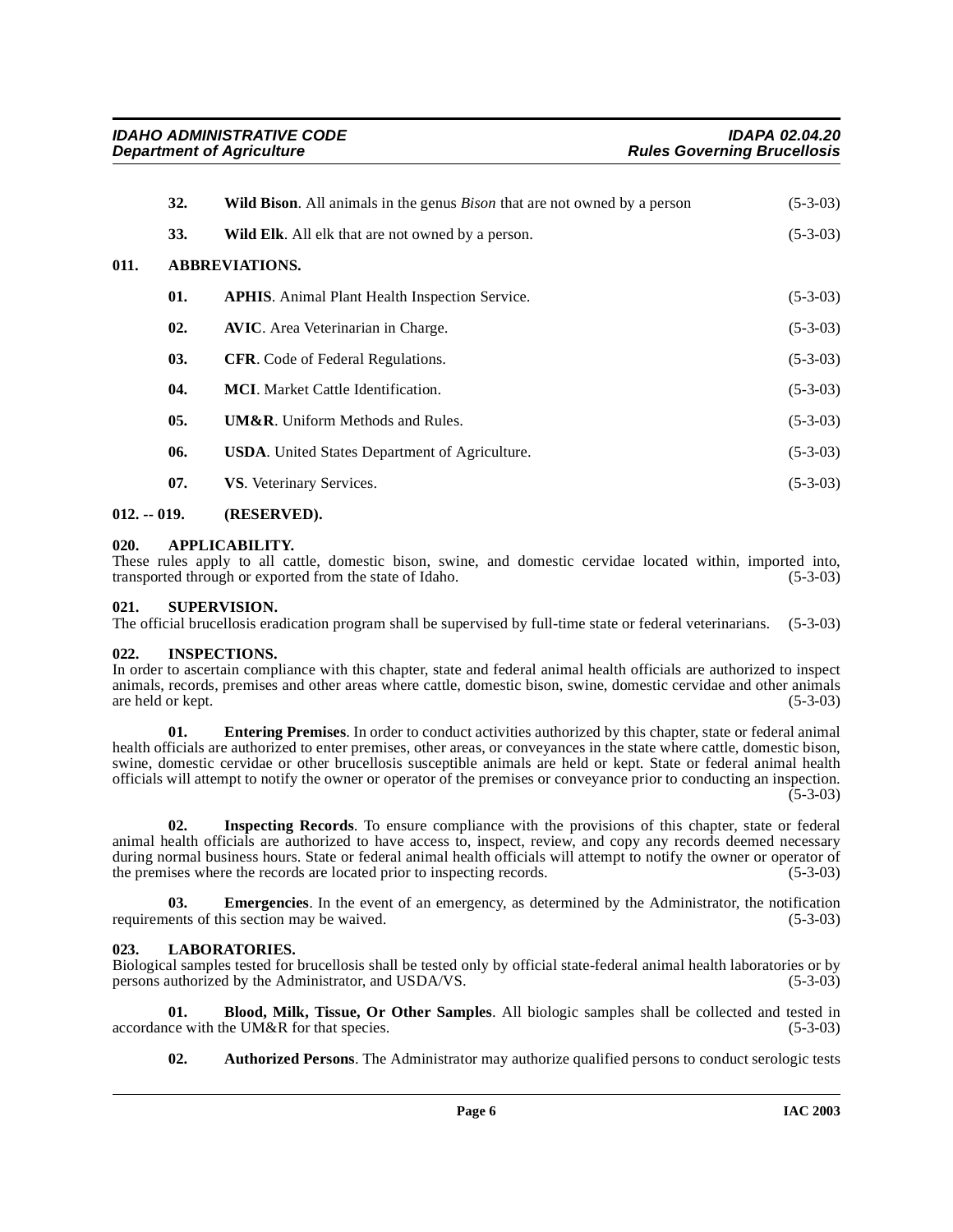<span id="page-5-14"></span><span id="page-5-13"></span><span id="page-5-6"></span><span id="page-5-0"></span>

|      | 32.                   | <b>Wild Bison.</b> All animals in the genus <i>Bison</i> that are not owned by a person | $(5-3-03)$ |
|------|-----------------------|-----------------------------------------------------------------------------------------|------------|
|      | 33.                   | <b>Wild Elk.</b> All elk that are not owned by a person.                                | $(5-3-03)$ |
| 011. | <b>ABBREVIATIONS.</b> |                                                                                         |            |
|      | 01.                   | <b>APHIS.</b> Animal Plant Health Inspection Service.                                   | $(5-3-03)$ |
|      | 02.                   | <b>AVIC.</b> Area Veterinarian in Charge.                                               | $(5-3-03)$ |
|      | 03.                   | <b>CFR.</b> Code of Federal Regulations.                                                | $(5-3-03)$ |
|      | 04.                   | <b>MCI.</b> Market Cattle Identification.                                               | $(5-3-03)$ |
|      | 05.                   | <b>UM&amp;R.</b> Uniform Methods and Rules.                                             | $(5-3-03)$ |
|      | 06.                   | <b>USDA.</b> United States Department of Agriculture.                                   | $(5-3-03)$ |
|      | 07.                   | VS. Veterinary Services.                                                                | $(5-3-03)$ |
|      |                       |                                                                                         |            |

# <span id="page-5-1"></span>**012. -- 019. (RESERVED).**

# <span id="page-5-2"></span>**020. APPLICABILITY.**

These rules apply to all cattle, domestic bison, swine, and domestic cervidae located within, imported into, transported through or exported from the state of Idaho. (5-3-03) transported through or exported from the state of Idaho.

# <span id="page-5-12"></span><span id="page-5-3"></span>**021. SUPERVISION.**

The official brucellosis eradication program shall be supervised by full-time state or federal veterinarians. (5-3-03)

# <span id="page-5-10"></span><span id="page-5-4"></span>**022. INSPECTIONS.**

In order to ascertain compliance with this chapter, state and federal animal health officials are authorized to inspect animals, records, premises and other areas where cattle, domestic bison, swine, domestic cervidae and other animals are held or kept. (5-3-03)

<span id="page-5-8"></span>**01. Entering Premises**. In order to conduct activities authorized by this chapter, state or federal animal health officials are authorized to enter premises, other areas, or conveyances in the state where cattle, domestic bison, swine, domestic cervidae or other brucellosis susceptible animals are held or kept. State or federal animal health officials will attempt to notify the owner or operator of the premises or conveyance prior to conducting an inspection.  $(5-3-03)$ 

<span id="page-5-9"></span>**02. Inspecting Records**. To ensure compliance with the provisions of this chapter, state or federal animal health officials are authorized to have access to, inspect, review, and copy any records deemed necessary during normal business hours. State or federal animal health officials will attempt to notify the owner or operator of the premises where the records are located prior to inspecting records. (5-3-03) the premises where the records are located prior to inspecting records.

**03.** Emergencies. In the event of an emergency, as determined by the Administrator, the notification requirements of this section may be waived. (5-3-03)

# <span id="page-5-11"></span><span id="page-5-5"></span>**023. LABORATORIES.**

Biological samples tested for brucellosis shall be tested only by official state-federal animal health laboratories or by persons authorized by the Administrator, and USDA/VS. (5-3-03)

**01. Blood, Milk, Tissue, Or Other Samples**. All biologic samples shall be collected and tested in (5-3-03) (6-3) accordance with the UM&R for that species.

<span id="page-5-7"></span>**02. Authorized Persons**. The Administrator may authorize qualified persons to conduct serologic tests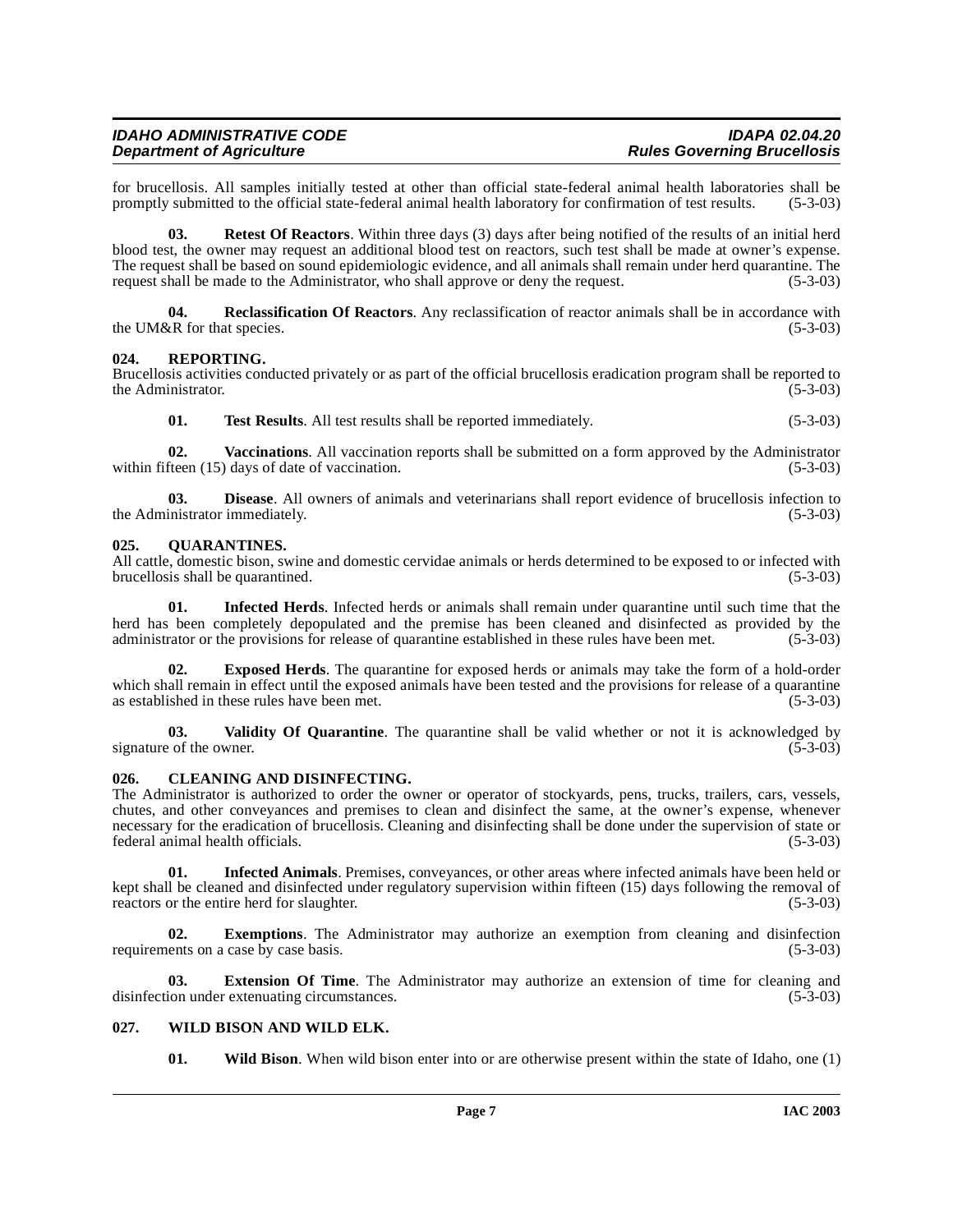for brucellosis. All samples initially tested at other than official state-federal animal health laboratories shall be promptly submitted to the official state-federal animal health laboratory for confirmation of test resu promptly submitted to the official state-federal animal health laboratory for confirmation of test results.

<span id="page-6-11"></span>**03. Retest Of Reactors**. Within three days (3) days after being notified of the results of an initial herd blood test, the owner may request an additional blood test on reactors, such test shall be made at owner's expense. The request shall be based on sound epidemiologic evidence, and all animals shall remain under herd quarantine. The request shall be made to the Administrator, who shall approve or deny the request. (5-3-03) request shall be made to the Administrator, who shall approve or deny the request.

<span id="page-6-9"></span>**04. Reclassification Of Reactors**. Any reclassification of reactor animals shall be in accordance with the UM&R for that species.  $(5-3-03)$ 

#### <span id="page-6-10"></span><span id="page-6-0"></span>**024. REPORTING.**

Brucellosis activities conducted privately or as part of the official brucellosis eradication program shall be reported to the Administrator.

**01. Test Results**. All test results shall be reported immediately. (5-3-03)

**02. Vaccinations**. All vaccination reports shall be submitted on a form approved by the Administrator within fifteen (15) days of date of vaccination. (5-3-03)

**03. Disease**. All owners of animals and veterinarians shall report evidence of brucellosis infection to inistrator immediately. (5-3-03) the Administrator immediately.

#### <span id="page-6-8"></span><span id="page-6-1"></span>**025. QUARANTINES.**

All cattle, domestic bison, swine and domestic cervidae animals or herds determined to be exposed to or infected with brucellosis shall be quarantined. (5-3-03)

<span id="page-6-7"></span>**01. Infected Herds**. Infected herds or animals shall remain under quarantine until such time that the herd has been completely depopulated and the premise has been cleaned and disinfected as provided by the administrator or the provisions for release of quarantine established in these rules have been met. (5-3-03)

<span id="page-6-5"></span>**02. Exposed Herds**. The quarantine for exposed herds or animals may take the form of a hold-order which shall remain in effect until the exposed animals have been tested and the provisions for release of a quarantine as established in these rules have been met. (5-3-03)

<span id="page-6-12"></span>**03.** Validity Of Quarantine. The quarantine shall be valid whether or not it is acknowledged by  $\epsilon$  of the owner. (5-3-03) signature of the owner.

#### <span id="page-6-4"></span><span id="page-6-2"></span>**026. CLEANING AND DISINFECTING.**

The Administrator is authorized to order the owner or operator of stockyards, pens, trucks, trailers, cars, vessels, chutes, and other conveyances and premises to clean and disinfect the same, at the owner's expense, whenever necessary for the eradication of brucellosis. Cleaning and disinfecting shall be done under the supervision of state or federal animal health officials. (5-3-03)

<span id="page-6-6"></span>**01. Infected Animals**. Premises, conveyances, or other areas where infected animals have been held or kept shall be cleaned and disinfected under regulatory supervision within fifteen (15) days following the removal of reactors or the entire herd for slaughter. (5-3-03)

**02. Exemptions**. The Administrator may authorize an exemption from cleaning and disinfection ents on a case by case basis. (5-3-03) requirements on a case by case basis.

**03. Extension Of Time**. The Administrator may authorize an extension of time for cleaning and disinfection under extenuating circumstances. (5-3-03)

# <span id="page-6-3"></span>**027. WILD BISON AND WILD ELK.**

<span id="page-6-13"></span>**01. Wild Bison**. When wild bison enter into or are otherwise present within the state of Idaho, one (1)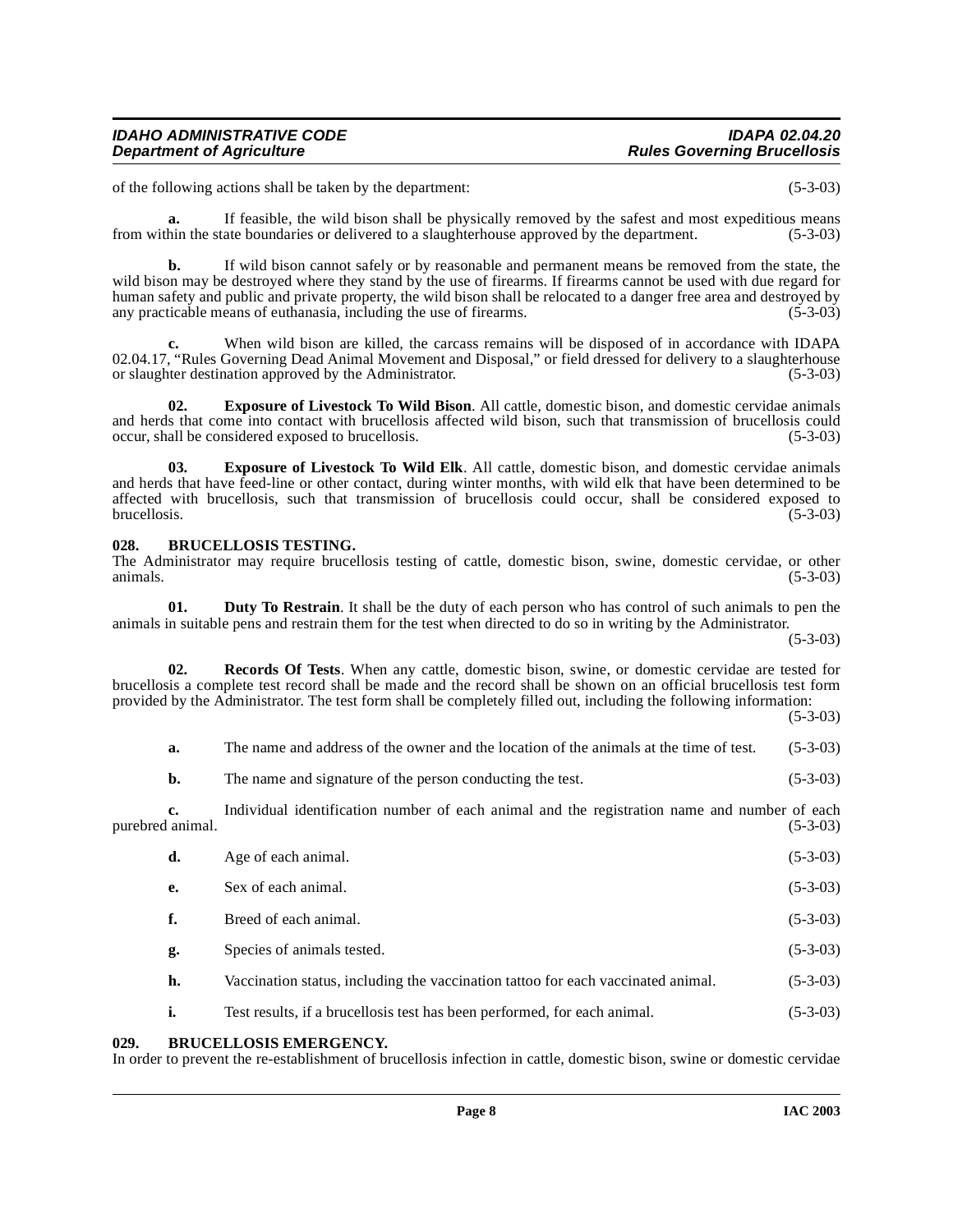of the following actions shall be taken by the department: (5-3-03)

**a.** If feasible, the wild bison shall be physically removed by the safest and most expeditious means from within the state boundaries or delivered to a slaughterhouse approved by the department. (5-3-03)

**b.** If wild bison cannot safely or by reasonable and permanent means be removed from the state, the wild bison may be destroyed where they stand by the use of firearms. If firearms cannot be used with due regard for human safety and public and private property, the wild bison shall be relocated to a danger free area and destroyed by any practicable means of euthanasia, including the use of firearms. (5-3-03)

When wild bison are killed, the carcass remains will be disposed of in accordance with IDAPA 02.04.17, "Rules Governing Dead Animal Movement and Disposal," or field dressed for delivery to a slaughterhouse<br>or slaughter destination approved by the Administrator. or slaughter destination approved by the Administrator.

<span id="page-7-5"></span>**02. Exposure of Livestock To Wild Bison**. All cattle, domestic bison, and domestic cervidae animals and herds that come into contact with brucellosis affected wild bison, such that transmission of brucellosis could occur, shall be considered exposed to brucellosis. (5-3-03) occur, shall be considered exposed to brucellosis.

<span id="page-7-6"></span>**03. Exposure of Livestock To Wild Elk**. All cattle, domestic bison, and domestic cervidae animals and herds that have feed-line or other contact, during winter months, with wild elk that have been determined to be affected with brucellosis, such that transmission of brucellosis could occur, shall be considered exposed to brucellosis. (5-3-03) brucellosis. (5-3-03)

#### <span id="page-7-3"></span><span id="page-7-0"></span>**028. BRUCELLOSIS TESTING.**

The Administrator may require brucellosis testing of cattle, domestic bison, swine, domestic cervidae, or other animals.  $(5-3-03)$ 

<span id="page-7-4"></span>**01. Duty To Restrain**. It shall be the duty of each person who has control of such animals to pen the animals in suitable pens and restrain them for the test when directed to do so in writing by the Administrator.

(5-3-03)

**02. Records Of Tests**. When any cattle, domestic bison, swine, or domestic cervidae are tested for brucellosis a complete test record shall be made and the record shall be shown on an official brucellosis test form provided by the Administrator. The test form shall be completely filled out, including the following information:

(5-3-03)

<span id="page-7-7"></span>**a.** The name and address of the owner and the location of the animals at the time of test. (5-3-03)

**b.** The name and signature of the person conducting the test. (5-3-03)

**c.** Individual identification number of each animal and the registration name and number of each animal. (5-3-03) purebred animal.

| d. | Age of each animal.                                                              | $(5-3-03)$ |
|----|----------------------------------------------------------------------------------|------------|
| e. | Sex of each animal.                                                              | $(5-3-03)$ |
| f. | Breed of each animal.                                                            | $(5-3-03)$ |
| g. | Species of animals tested.                                                       | $(5-3-03)$ |
| h. | Vaccination status, including the vaccination tattoo for each vaccinated animal. | $(5-3-03)$ |
|    |                                                                                  |            |

<span id="page-7-2"></span>**i.** Test results, if a brucellosis test has been performed, for each animal. (5-3-03)

# <span id="page-7-1"></span>**029. BRUCELLOSIS EMERGENCY.**

In order to prevent the re-establishment of brucellosis infection in cattle, domestic bison, swine or domestic cervidae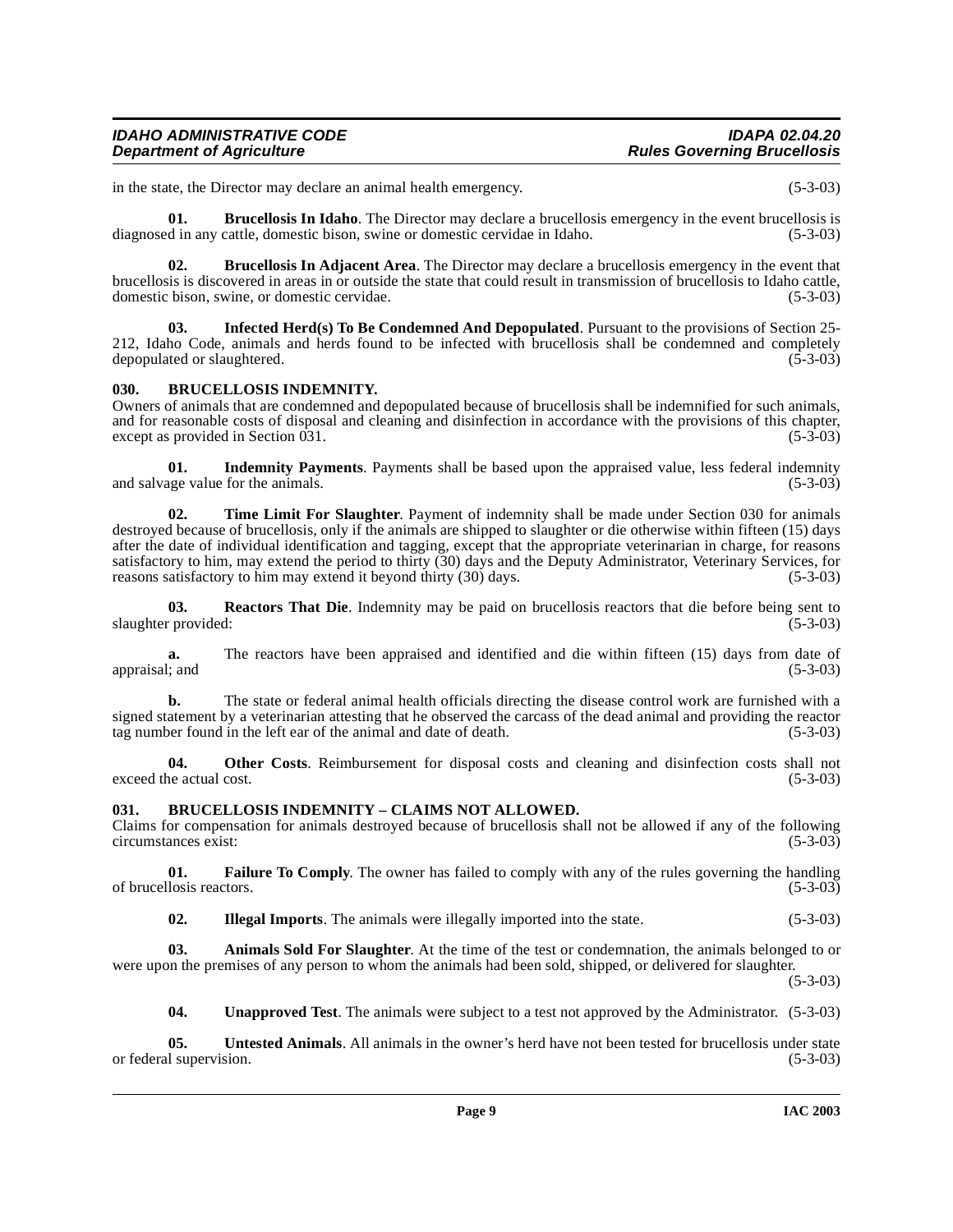| <b>IDAHO ADMINISTRATIVE CODE</b> |                 |
|----------------------------------|-----------------|
| Department of Agriculture        | <b>Rules Go</b> |

in the state, the Director may declare an animal health emergency. (5-3-03)

<span id="page-8-4"></span>**01.** Brucellosis In Idaho. The Director may declare a brucellosis emergency in the event brucellosis is diagnosed in any cattle, domestic bison, swine or domestic cervidae in Idaho. (5-3-03)

<span id="page-8-3"></span>**02. Brucellosis In Adjacent Area**. The Director may declare a brucellosis emergency in the event that brucellosis is discovered in areas in or outside the state that could result in transmission of brucellosis to Idaho cattle, domestic bison, swine, or domestic cervidae.

<span id="page-8-10"></span>**03. Infected Herd(s) To Be Condemned And Depopulated**. Pursuant to the provisions of Section 25- 212, Idaho Code, animals and herds found to be infected with brucellosis shall be condemned and completely depopulated or slaughtered.

#### <span id="page-8-5"></span><span id="page-8-0"></span>**030. BRUCELLOSIS INDEMNITY.**

Owners of animals that are condemned and depopulated because of brucellosis shall be indemnified for such animals, and for reasonable costs of disposal and cleaning and disinfection in accordance with the provisions of this chapter, except as provided in Section 031. (5-3-03) except as provided in Section  $\overline{031}$ .

<span id="page-8-9"></span>**01. Indemnity Payments**. Payments shall be based upon the appraised value, less federal indemnity and salvage value for the animals. (5-3-03) (5-3-03)

<span id="page-8-12"></span>**02. Time Limit For Slaughter**. Payment of indemnity shall be made under Section 030 for animals destroyed because of brucellosis, only if the animals are shipped to slaughter or die otherwise within fifteen (15) days after the date of individual identification and tagging, except that the appropriate veterinarian in charge, for reasons satisfactory to him, may extend the period to thirty (30) days and the Deputy Administrator, Veterinary Services, for reasons satisfactory to him may extend it beyond thirty (30) days. (5-3-03)

<span id="page-8-11"></span>**03. Reactors That Die**. Indemnity may be paid on brucellosis reactors that die before being sent to (5-3-03) slaughter provided:

**a.** The reactors have been appraised and identified and die within fifteen (15) days from date of : and (5-3-03) appraisal; and

**b.** The state or federal animal health officials directing the disease control work are furnished with a signed statement by a veterinarian attesting that he observed the carcass of the dead animal and providing the reactor tag number found in the left ear of the animal and date of death. (5-3-03)

**04. Other Costs**. Reimbursement for disposal costs and cleaning and disinfection costs shall not exceed the actual cost. (5-3-03)

# <span id="page-8-7"></span><span id="page-8-6"></span><span id="page-8-1"></span>**031. BRUCELLOSIS INDEMNITY – CLAIMS NOT ALLOWED.**

Claims for compensation for animals destroyed because of brucellosis shall not be allowed if any of the following circumstances exist: (5-3-03)

**01. Failure To Comply**. The owner has failed to comply with any of the rules governing the handling llosis reactors. (5-3-03) of brucellosis reactors.

<span id="page-8-8"></span><span id="page-8-2"></span>**02. Illegal Imports**. The animals were illegally imported into the state. (5-3-03)

**03.** Animals Sold For Slaughter. At the time of the test or condemnation, the animals belonged to or were upon the premises of any person to whom the animals had been sold, shipped, or delivered for slaughter.

 $(5-3-03)$ 

<span id="page-8-13"></span>**04. Unapproved Test**. The animals were subject to a test not approved by the Administrator. (5-3-03)

**05.** Untested Animals. All animals in the owner's herd have not been tested for brucellosis under state 1 supervision. (5-3-03) or federal supervision.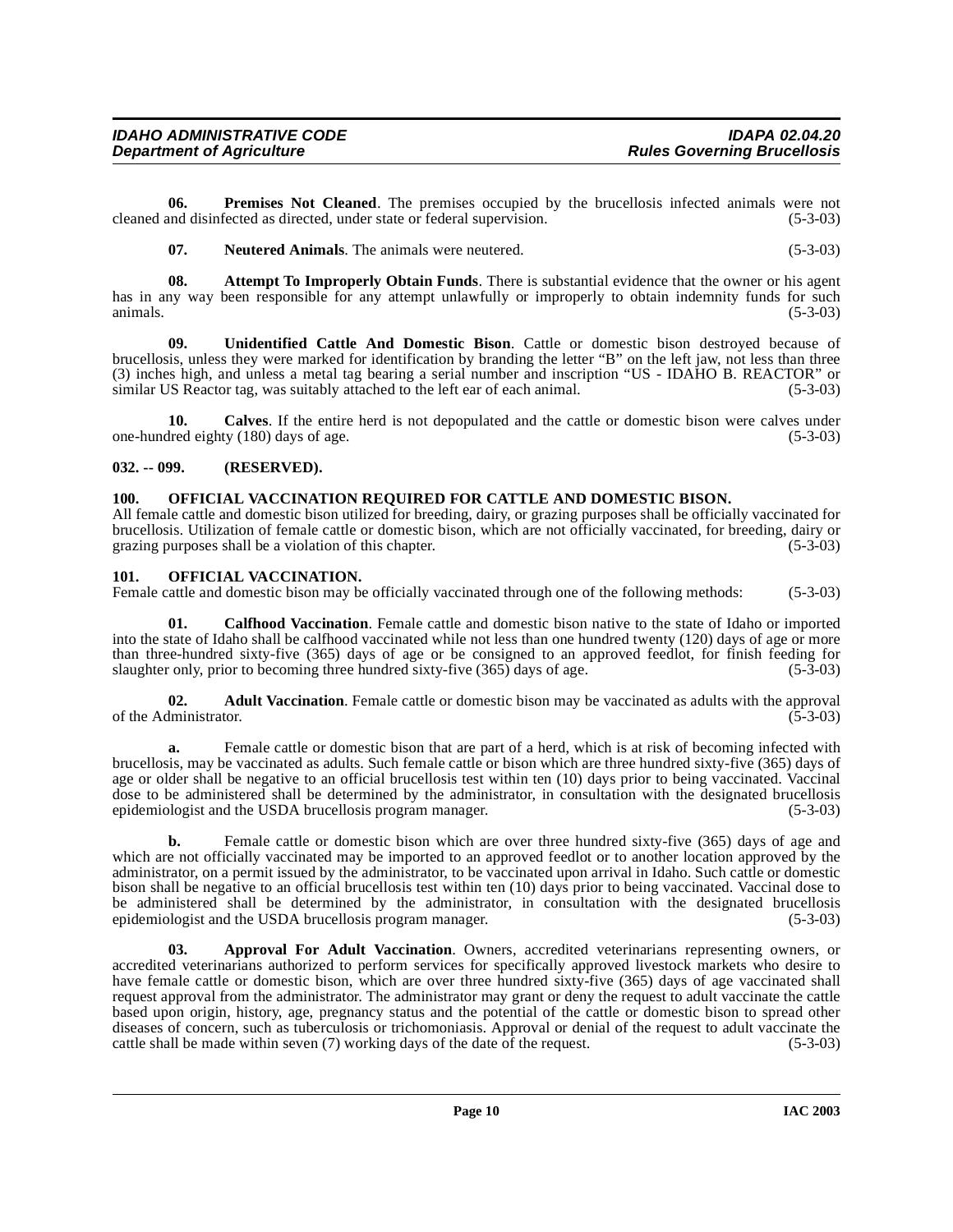**06.** Premises Not Cleaned. The premises occupied by the brucellosis infected animals were not and disinfected as directed, under state or federal supervision. (5-3-03) cleaned and disinfected as directed, under state or federal supervision.

<span id="page-9-10"></span><span id="page-9-7"></span><span id="page-9-5"></span>**07. Neutered Animals**. The animals were neutered. (5-3-03)

**08.** Attempt To Improperly Obtain Funds. There is substantial evidence that the owner or his agent has in any way been responsible for any attempt unlawfully or improperly to obtain indemnity funds for such animals.  $(5-3-03)$ 

**09. Unidentified Cattle And Domestic Bison**. Cattle or domestic bison destroyed because of brucellosis, unless they were marked for identification by branding the letter "B" on the left jaw, not less than three (3) inches high, and unless a metal tag bearing a serial number and inscription "US - IDAHO B. REACTOR" or similar US Reactor tag, was suitably attached to the left ear of each animal. (5-3-03)

**10.** Calves. If the entire herd is not depopulated and the cattle or domestic bison were calves under dred eighty (180) days of age.  $(5-3-03)$ one-hundred eighty (180) days of age.

# <span id="page-9-0"></span>**032. -- 099. (RESERVED).**

#### <span id="page-9-8"></span><span id="page-9-1"></span>**100. OFFICIAL VACCINATION REQUIRED FOR CATTLE AND DOMESTIC BISON.**

All female cattle and domestic bison utilized for breeding, dairy, or grazing purposes shall be officially vaccinated for brucellosis. Utilization of female cattle or domestic bison, which are not officially vaccinated, for breeding, dairy or grazing purposes shall be a violation of this chapter.

#### <span id="page-9-9"></span><span id="page-9-2"></span>**101. OFFICIAL VACCINATION.**

Female cattle and domestic bison may be officially vaccinated through one of the following methods: (5-3-03)

<span id="page-9-6"></span>**01. Calfhood Vaccination**. Female cattle and domestic bison native to the state of Idaho or imported into the state of Idaho shall be calfhood vaccinated while not less than one hundred twenty (120) days of age or more than three-hundred sixty-five (365) days of age or be consigned to an approved feedlot, for finish feeding for slaughter only, prior to becoming three hundred sixty-five (365) days of age. (5-3-03) slaughter only, prior to becoming three hundred sixty-five  $(365)$  days of age.

<span id="page-9-3"></span>**02. Adult Vaccination**. Female cattle or domestic bison may be vaccinated as adults with the approval ministrator. (5-3-03) of the Administrator.

**a.** Female cattle or domestic bison that are part of a herd, which is at risk of becoming infected with brucellosis, may be vaccinated as adults. Such female cattle or bison which are three hundred sixty-five (365) days of age or older shall be negative to an official brucellosis test within ten (10) days prior to being vaccinated. Vaccinal dose to be administered shall be determined by the administrator, in consultation with the designated brucellosis epidemiologist and the USDA brucellosis program manager. (5-3-03) epidemiologist and the USDA brucellosis program manager.

**b.** Female cattle or domestic bison which are over three hundred sixty-five (365) days of age and which are not officially vaccinated may be imported to an approved feedlot or to another location approved by the administrator, on a permit issued by the administrator, to be vaccinated upon arrival in Idaho. Such cattle or domestic bison shall be negative to an official brucellosis test within ten (10) days prior to being vaccinated. Vaccinal dose to be administered shall be determined by the administrator, in consultation with the designated brucellosis epidemiologist and the USDA brucellosis program manager. (5-3-03)

<span id="page-9-4"></span>**03. Approval For Adult Vaccination**. Owners, accredited veterinarians representing owners, or accredited veterinarians authorized to perform services for specifically approved livestock markets who desire to have female cattle or domestic bison, which are over three hundred sixty-five (365) days of age vaccinated shall request approval from the administrator. The administrator may grant or deny the request to adult vaccinate the cattle based upon origin, history, age, pregnancy status and the potential of the cattle or domestic bison to spread other diseases of concern, such as tuberculosis or trichomoniasis. Approval or denial of the request to adult vaccinate the cattle shall be made within seven (7) working days of the date of the request. (5-3-03) cattle shall be made within seven  $(7)$  working days of the date of the request.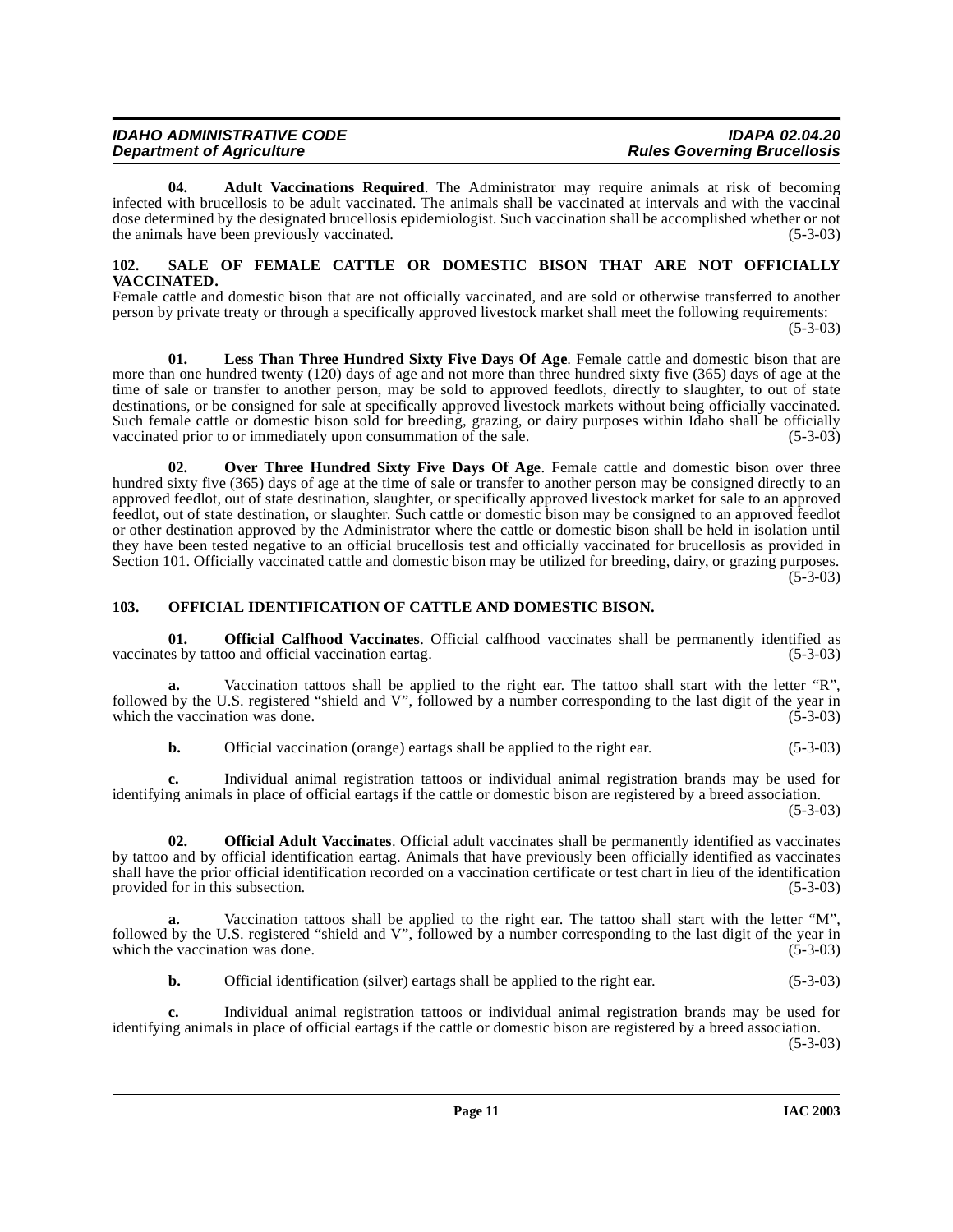| <b>IDAHO ADMINISTRATIVE CODE</b> | <b>IDAPA 02.04.20</b>              |
|----------------------------------|------------------------------------|
| <b>Department of Agriculture</b> | <b>Rules Governing Brucellosis</b> |

**04. Adult Vaccinations Required**. The Administrator may require animals at risk of becoming infected with brucellosis to be adult vaccinated. The animals shall be vaccinated at intervals and with the vaccinal dose determined by the designated brucellosis epidemiologist. Such vaccination shall be accomplished whether or not the animals have been previously vaccinated. (5-3-03)

#### <span id="page-10-4"></span><span id="page-10-0"></span>**102. SALE OF FEMALE CATTLE OR DOMESTIC BISON THAT ARE NOT OFFICIALLY VACCINATED.**

Female cattle and domestic bison that are not officially vaccinated, and are sold or otherwise transferred to another person by private treaty or through a specifically approved livestock market shall meet the following requirements: (5-3-03)

**01. Less Than Three Hundred Sixty Five Days Of Age**. Female cattle and domestic bison that are more than one hundred twenty (120) days of age and not more than three hundred sixty five (365) days of age at the time of sale or transfer to another person, may be sold to approved feedlots, directly to slaughter, to out of state destinations, or be consigned for sale at specifically approved livestock markets without being officially vaccinated. Such female cattle or domestic bison sold for breeding, grazing, or dairy purposes within Idaho shall be officially vaccinated prior to or immediately upon consummation of the sale. (5-3-03) vaccinated prior to or immediately upon consummation of the sale.

**02. Over Three Hundred Sixty Five Days Of Age**. Female cattle and domestic bison over three hundred sixty five (365) days of age at the time of sale or transfer to another person may be consigned directly to an approved feedlot, out of state destination, slaughter, or specifically approved livestock market for sale to an approved feedlot, out of state destination, or slaughter. Such cattle or domestic bison may be consigned to an approved feedlot or other destination approved by the Administrator where the cattle or domestic bison shall be held in isolation until they have been tested negative to an official brucellosis test and officially vaccinated for brucellosis as provided in Section 101. Officially vaccinated cattle and domestic bison may be utilized for breeding, dairy, or grazing purposes. (5-3-03)

# <span id="page-10-3"></span><span id="page-10-1"></span>**103. OFFICIAL IDENTIFICATION OF CATTLE AND DOMESTIC BISON.**

<span id="page-10-2"></span>**01. Official Calfhood Vaccinates**. Official calfhood vaccinates shall be permanently identified as by tattoo and official vaccination eartag.  $(5-3-03)$ vaccinates by tattoo and official vaccination eartag.

**a.** Vaccination tattoos shall be applied to the right ear. The tattoo shall start with the letter "R", followed by the U.S. registered "shield and V", followed by a number corresponding to the last digit of the year in which the vaccination was done. (5-3-03) which the vaccination was done.

**b.** Official vaccination (orange) eartags shall be applied to the right ear. (5-3-03)

**c.** Individual animal registration tattoos or individual animal registration brands may be used for identifying animals in place of official eartags if the cattle or domestic bison are registered by a breed association. (5-3-03)

**02. Official Adult Vaccinates**. Official adult vaccinates shall be permanently identified as vaccinates by tattoo and by official identification eartag. Animals that have previously been officially identified as vaccinates shall have the prior official identification recorded on a vaccination certificate or test chart in lieu of the identification provided for in this subsection. (5-3-03) provided for in this subsection.

**a.** Vaccination tattoos shall be applied to the right ear. The tattoo shall start with the letter "M", followed by the U.S. registered "shield and V", followed by a number corresponding to the last digit of the year in which the vaccination was done. (5-3-03) which the vaccination was done.

**b.** Official identification (silver) eartags shall be applied to the right ear. (5-3-03)

**c.** Individual animal registration tattoos or individual animal registration brands may be used for identifying animals in place of official eartags if the cattle or domestic bison are registered by a breed association. (5-3-03)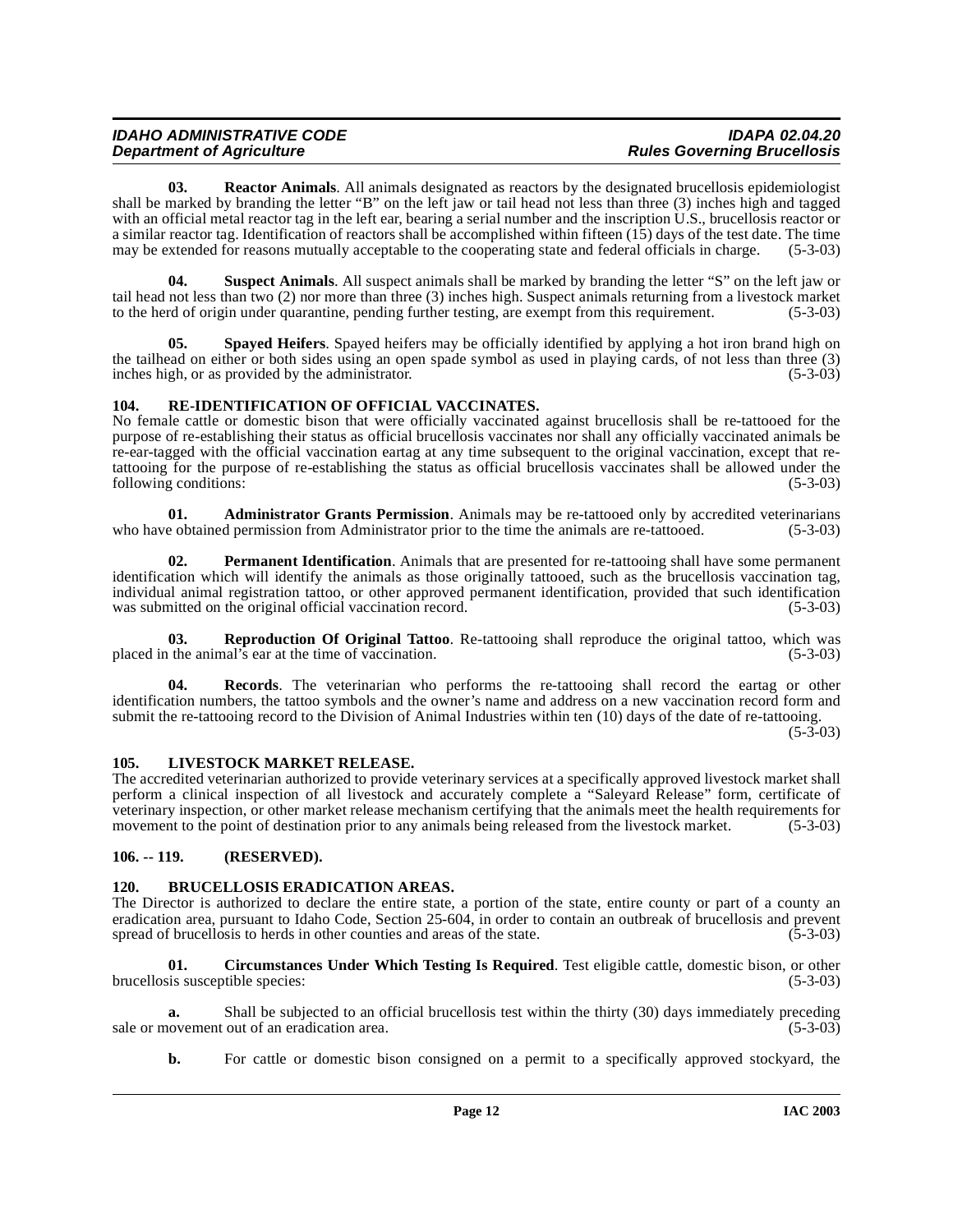<span id="page-11-10"></span>**03. Reactor Animals**. All animals designated as reactors by the designated brucellosis epidemiologist shall be marked by branding the letter "B" on the left jaw or tail head not less than three (3) inches high and tagged with an official metal reactor tag in the left ear, bearing a serial number and the inscription U.S., brucellosis reactor or a similar reactor tag. Identification of reactors shall be accomplished within fifteen  $(15)$  days of the test date. The time may be extended for reasons mutually acceptable to the cooperating state and federal officials in charge. (5-3-03)

<span id="page-11-13"></span>**04. Suspect Animals**. All suspect animals shall be marked by branding the letter "S" on the left jaw or tail head not less than two (2) nor more than three (3) inches high. Suspect animals returning from a livestock market to the herd of origin under quarantine, pending further testing, are exempt from this requirement. (5-3-03)

<span id="page-11-12"></span>**05. Spayed Heifers**. Spayed heifers may be officially identified by applying a hot iron brand high on the tailhead on either or both sides using an open spade symbol as used in playing cards, of not less than three (3) inches high, or as provided by the administrator. (5-3-03) inches high, or as provided by the administrator.

# <span id="page-11-9"></span><span id="page-11-0"></span>**104. RE-IDENTIFICATION OF OFFICIAL VACCINATES.**

No female cattle or domestic bison that were officially vaccinated against brucellosis shall be re-tattooed for the purpose of re-establishing their status as official brucellosis vaccinates nor shall any officially vaccinated animals be re-ear-tagged with the official vaccination eartag at any time subsequent to the original vaccination, except that retattooing for the purpose of re-establishing the status as official brucellosis vaccinates shall be allowed under the following conditions: (5-3-03)

<span id="page-11-4"></span>**01. Administrator Grants Permission**. Animals may be re-tattooed only by accredited veterinarians e obtained permission from Administrator prior to the time the animals are re-tattooed. (5-3-03) who have obtained permission from Administrator prior to the time the animals are re-tattooed.

<span id="page-11-8"></span>**02. Permanent Identification**. Animals that are presented for re-tattooing shall have some permanent identification which will identify the animals as those originally tattooed, such as the brucellosis vaccination tag, individual animal registration tattoo, or other approved permanent identification, provided that such identification was submitted on the original official vaccination record. (5-3-03) was submitted on the original official vaccination record.

<span id="page-11-11"></span>**03. Reproduction Of Original Tattoo**. Re-tattooing shall reproduce the original tattoo, which was placed in the animal's ear at the time of vaccination. (5-3-03)

**Records**. The veterinarian who performs the re-tattooing shall record the eartag or other identification numbers, the tattoo symbols and the owner's name and address on a new vaccination record form and submit the re-tattooing record to the Division of Animal Industries within ten (10) days of the date of re-tattooing.

 $(5-3-03)$ 

# <span id="page-11-7"></span><span id="page-11-1"></span>**105. LIVESTOCK MARKET RELEASE.**

The accredited veterinarian authorized to provide veterinary services at a specifically approved livestock market shall perform a clinical inspection of all livestock and accurately complete a "Saleyard Release" form, certificate of veterinary inspection, or other market release mechanism certifying that the animals meet the health requirements for movement to the point of destination prior to any animals being released from the livestock market. (5-3-03)

# <span id="page-11-2"></span>**106. -- 119. (RESERVED).**

# <span id="page-11-5"></span><span id="page-11-3"></span>**120. BRUCELLOSIS ERADICATION AREAS.**

The Director is authorized to declare the entire state, a portion of the state, entire county or part of a county an eradication area, pursuant to Idaho Code, Section 25-604, in order to contain an outbreak of brucellosis and prevent spread of brucellosis to herds in other counties and areas of the state. (5-3-03)

<span id="page-11-6"></span>**01. Circumstances Under Which Testing Is Required**. Test eligible cattle, domestic bison, or other brucellosis susceptible species: (5-3-03)

**a.** Shall be subjected to an official brucellosis test within the thirty (30) days immediately preceding ovement out of an eradication area. (5-3-03) sale or movement out of an eradication area.

**b.** For cattle or domestic bison consigned on a permit to a specifically approved stockyard, the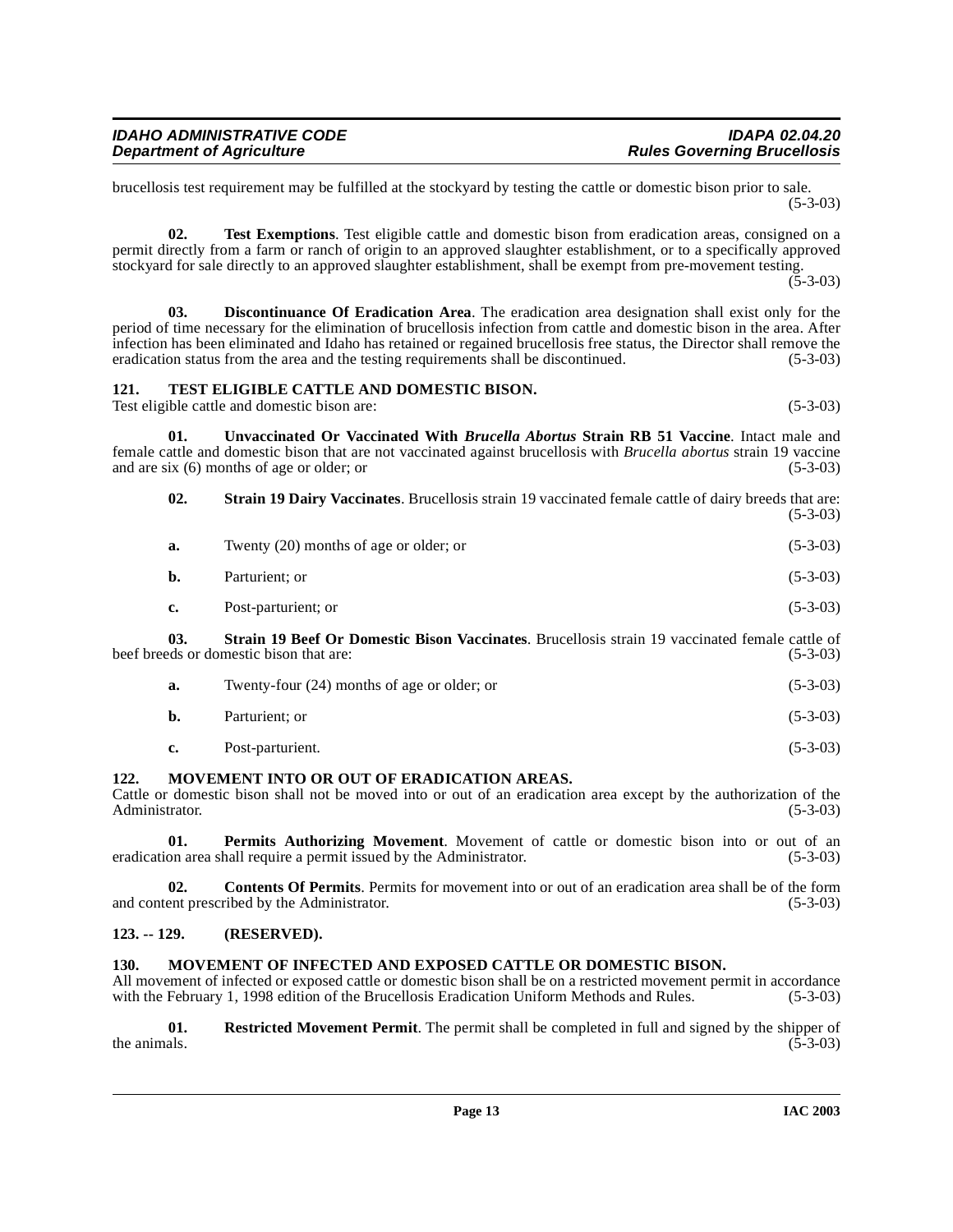brucellosis test requirement may be fulfilled at the stockyard by testing the cattle or domestic bison prior to sale. (5-3-03)

**02. Test Exemptions**. Test eligible cattle and domestic bison from eradication areas, consigned on a permit directly from a farm or ranch of origin to an approved slaughter establishment, or to a specifically approved stockyard for sale directly to an approved slaughter establishment, shall be exempt from pre-movement testing.  $(5-3-03)$ 

<span id="page-12-4"></span>**03. Discontinuance Of Eradication Area**. The eradication area designation shall exist only for the period of time necessary for the elimination of brucellosis infection from cattle and domestic bison in the area. After infection has been eliminated and Idaho has retained or regained brucellosis free status, the Director shall remove the eradication status from the area and the testing requirements shall be discontinued. (5-3-03) eradication status from the area and the testing requirements shall be discontinued.

#### <span id="page-12-11"></span><span id="page-12-0"></span>**121. TEST ELIGIBLE CATTLE AND DOMESTIC BISON.**

Test eligible cattle and domestic bison are: (5-3-03)

**01. Unvaccinated Or Vaccinated With** *Brucella Abortus* **Strain RB 51 Vaccine**. Intact male and female cattle and domestic bison that are not vaccinated against brucellosis with *Brucella abortus* strain 19 vaccine and are six (6) months of age or older; or (5-3-03)

<span id="page-12-12"></span><span id="page-12-10"></span>**02. Strain 19 Dairy Vaccinates**. Brucellosis strain 19 vaccinated female cattle of dairy breeds that are: (5-3-03) **a.** Twenty (20) months of age or older; or (5-3-03) **b.** Parturient; or (5-3-03) **c.** Post-parturient; or (5-3-03) **03. Strain 19 Beef Or Domestic Bison Vaccinates**. Brucellosis strain 19 vaccinated female cattle of

beef breeds or domestic bison that are: (5-3-03)

<span id="page-12-9"></span>

| Twenty-four $(24)$ months of age or older; or | $(5-3-03)$ |
|-----------------------------------------------|------------|
| Parturient: or                                | $(5-3-03)$ |

<span id="page-12-5"></span>**c.** Post-parturient. (5-3-03)

# <span id="page-12-1"></span>**122. MOVEMENT INTO OR OUT OF ERADICATION AREAS.**

Cattle or domestic bison shall not be moved into or out of an eradication area except by the authorization of the Administrator. (5-3-03) Administrator.

<span id="page-12-7"></span>**01. Permits Authorizing Movement**. Movement of cattle or domestic bison into or out of an eradication area shall require a permit issued by the Administrator. (5-3-03)

**02. Contents Of Permits**. Permits for movement into or out of an eradication area shall be of the form and content prescribed by the Administrator. (5-3-03)

# <span id="page-12-2"></span>**123. -- 129. (RESERVED).**

# <span id="page-12-6"></span><span id="page-12-3"></span>**130. MOVEMENT OF INFECTED AND EXPOSED CATTLE OR DOMESTIC BISON.**

All movement of infected or exposed cattle or domestic bison shall be on a restricted movement permit in accordance with the February 1, 1998 edition of the Brucellosis Eradication Uniform Methods and Rules. (5-3-03)

<span id="page-12-8"></span>**01.** Restricted Movement Permit. The permit shall be completed in full and signed by the shipper of the animals. (5-3-03) the animals.  $(5-3-03)$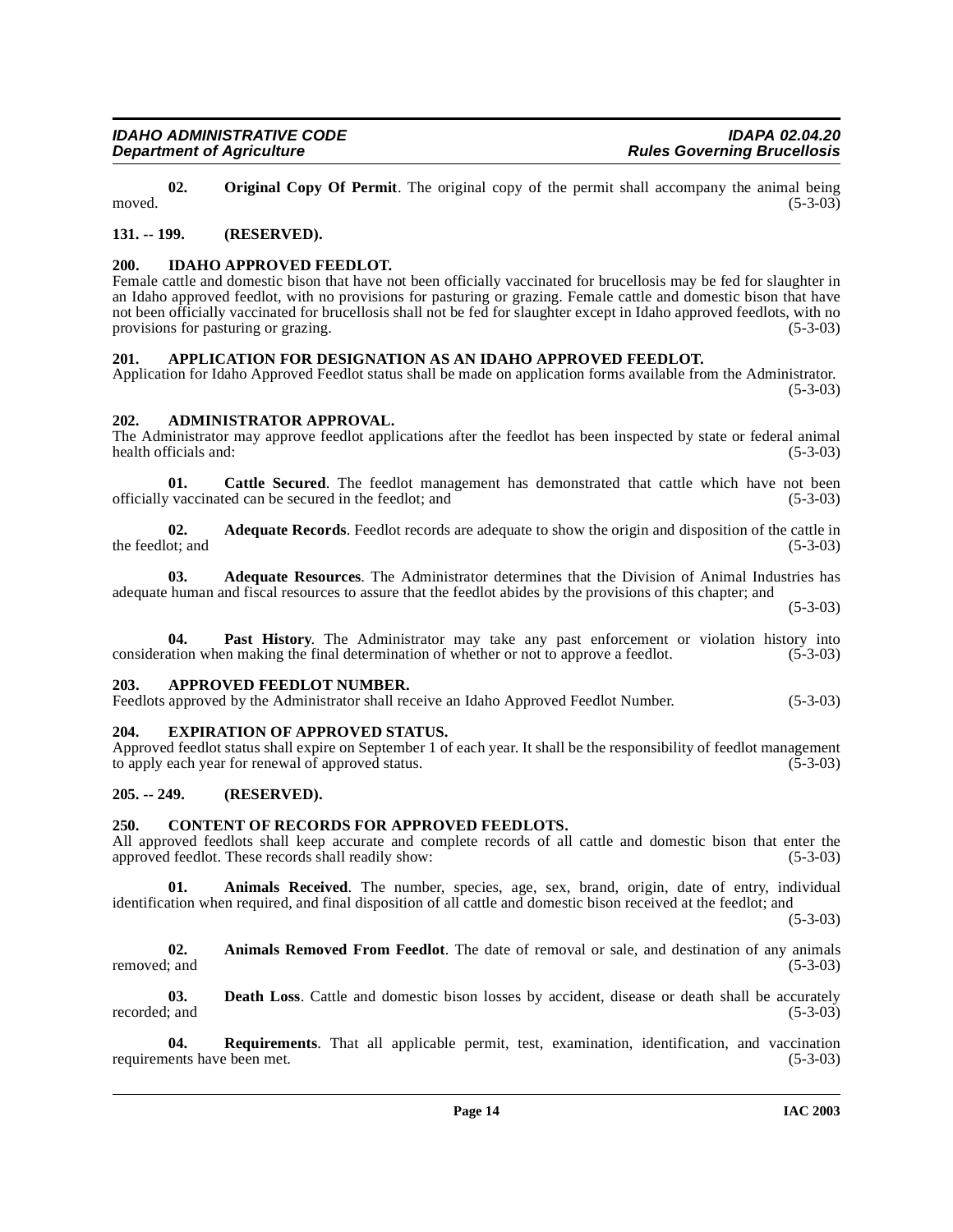<span id="page-13-15"></span>**02.** Original Copy Of Permit. The original copy of the permit shall accompany the animal being (5-3-03) moved.  $(5-3-03)$ 

# <span id="page-13-0"></span>**131. -- 199. (RESERVED).**

# <span id="page-13-14"></span><span id="page-13-1"></span>**200. IDAHO APPROVED FEEDLOT.**

Female cattle and domestic bison that have not been officially vaccinated for brucellosis may be fed for slaughter in an Idaho approved feedlot, with no provisions for pasturing or grazing. Female cattle and domestic bison that have not been officially vaccinated for brucellosis shall not be fed for slaughter except in Idaho approved feedlots, with no provisions for pasturing or grazing. (5-3-03)

# <span id="page-13-10"></span><span id="page-13-2"></span>**201. APPLICATION FOR DESIGNATION AS AN IDAHO APPROVED FEEDLOT.**

Application for Idaho Approved Feedlot status shall be made on application forms available from the Administrator.  $(5-3-03)$ 

# <span id="page-13-8"></span><span id="page-13-3"></span>**202. ADMINISTRATOR APPROVAL.**

The Administrator may approve feedlot applications after the feedlot has been inspected by state or federal animal health officials and:

**01.** Cattle Secured. The feedlot management has demonstrated that cattle which have not been vaccinated can be secured in the feedlot: and (5-3-03) officially vaccinated can be secured in the feedlot; and (5-3-03)

**02. Adequate Records**. Feedlot records are adequate to show the origin and disposition of the cattle in the feedlot; and  $(5-3-03)$ 

**03. Adequate Resources**. The Administrator determines that the Division of Animal Industries has adequate human and fiscal resources to assure that the feedlot abides by the provisions of this chapter; and

(5-3-03)

**04. Past History**. The Administrator may take any past enforcement or violation history into consideration when making the final determination of whether or not to approve a feedlot. (5-3-03)

# <span id="page-13-11"></span><span id="page-13-4"></span>**203. APPROVED FEEDLOT NUMBER.**

Feedlots approved by the Administrator shall receive an Idaho Approved Feedlot Number. (5-3-03)

# <span id="page-13-13"></span><span id="page-13-5"></span>**204. EXPIRATION OF APPROVED STATUS.**

Approved feedlot status shall expire on September 1 of each year. It shall be the responsibility of feedlot management to apply each year for renewal of approved status. (5-3-03) to apply each year for renewal of approved status.

# <span id="page-13-6"></span>**205. -- 249. (RESERVED).**

# <span id="page-13-12"></span><span id="page-13-7"></span>**250. CONTENT OF RECORDS FOR APPROVED FEEDLOTS.**

All approved feedlots shall keep accurate and complete records of all cattle and domestic bison that enter the approved feedlot. These records shall readily show: (5-3-03)

**01. Animals Received**. The number, species, age, sex, brand, origin, date of entry, individual identification when required, and final disposition of all cattle and domestic bison received at the feedlot; and

 $(5-3-03)$ 

<span id="page-13-9"></span>**02.** Animals Removed From Feedlot. The date of removal or sale, and destination of any animals removed: and (5-3-03) removed; and  $(5-3-03)$ 

**03. Death Loss**. Cattle and domestic bison losses by accident, disease or death shall be accurately ; and  $(5-3-03)$ recorded; and

**04. Requirements**. That all applicable permit, test, examination, identification, and vaccination ents have been met. (5-3-03) requirements have been met.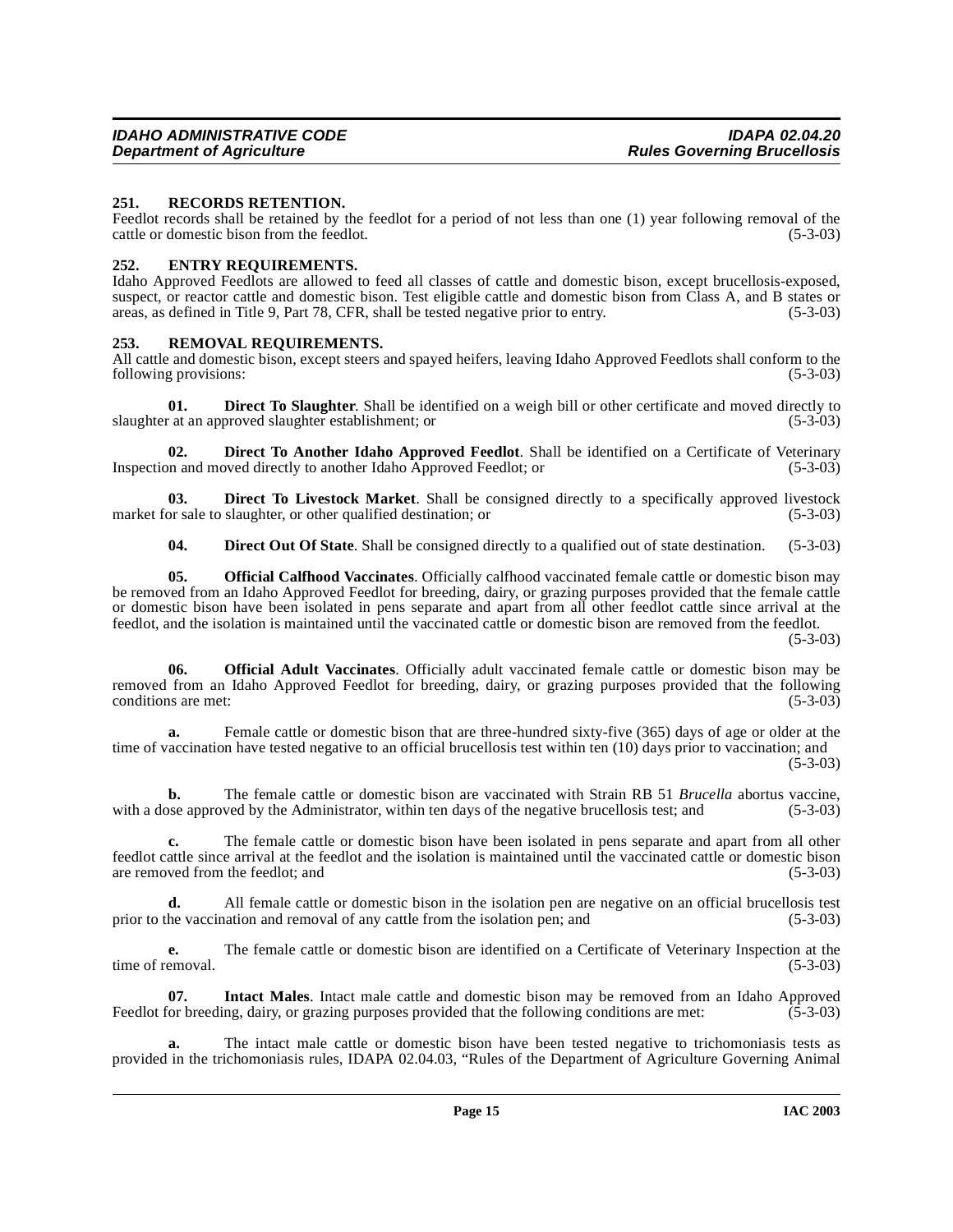#### <span id="page-14-10"></span><span id="page-14-0"></span>**251. RECORDS RETENTION.**

Feedlot records shall be retained by the feedlot for a period of not less than one (1) year following removal of the cattle or domestic bison from the feedlot. (5-3-03)

#### <span id="page-14-6"></span><span id="page-14-1"></span>**252. ENTRY REQUIREMENTS.**

Idaho Approved Feedlots are allowed to feed all classes of cattle and domestic bison, except brucellosis-exposed, suspect, or reactor cattle and domestic bison. Test eligible cattle and domestic bison from Class A, and B states or areas, as defined in Title 9. Part 78, CFR, shall be tested negative prior to entry. (5-3-03) areas, as defined in Title 9, Part 78, CFR, shall be tested negative prior to entry.

#### <span id="page-14-11"></span><span id="page-14-2"></span>**253. REMOVAL REQUIREMENTS.**

All cattle and domestic bison, except steers and spayed heifers, leaving Idaho Approved Feedlots shall conform to the following provisions: (5-3-03) following provisions:

<span id="page-14-5"></span>**01. Direct To Slaughter**. Shall be identified on a weigh bill or other certificate and moved directly to (5-3-03) at an approved slaughter establishment; or slaughter at an approved slaughter establishment; or

<span id="page-14-3"></span>**02. Direct To Another Idaho Approved Feedlot**. Shall be identified on a Certificate of Veterinary Inspection and moved directly to another Idaho Approved Feedlot; or (5-3-03)

**03. Direct To Livestock Market**. Shall be consigned directly to a specifically approved livestock or sale to slaughter, or other qualified destination; or (5-3-03) market for sale to slaughter, or other qualified destination; or

<span id="page-14-9"></span><span id="page-14-4"></span>**04. Direct Out Of State**. Shall be consigned directly to a qualified out of state destination. (5-3-03)

**05. Official Calfhood Vaccinates**. Officially calfhood vaccinated female cattle or domestic bison may be removed from an Idaho Approved Feedlot for breeding, dairy, or grazing purposes provided that the female cattle or domestic bison have been isolated in pens separate and apart from all other feedlot cattle since arrival at the feedlot, and the isolation is maintained until the vaccinated cattle or domestic bison are removed from the feedlot.

(5-3-03)

<span id="page-14-8"></span>**06. Official Adult Vaccinates**. Officially adult vaccinated female cattle or domestic bison may be removed from an Idaho Approved Feedlot for breeding, dairy, or grazing purposes provided that the following conditions are met:  $(5-3-03)$ 

**a.** Female cattle or domestic bison that are three-hundred sixty-five (365) days of age or older at the time of vaccination have tested negative to an official brucellosis test within ten (10) days prior to vaccination; and (5-3-03)

**b.** The female cattle or domestic bison are vaccinated with Strain RB 51 *Brucella* abortus vaccine, ose approved by the Administrator, within ten days of the negative brucellosis test; and (5-3-03) with a dose approved by the Administrator, within ten days of the negative brucellosis test; and

**c.** The female cattle or domestic bison have been isolated in pens separate and apart from all other feedlot cattle since arrival at the feedlot and the isolation is maintained until the vaccinated cattle or domestic bison are removed from the feedlot; and

**d.** All female cattle or domestic bison in the isolation pen are negative on an official brucellosis test prior to the vaccination and removal of any cattle from the isolation pen; and (5-3-03)

**e.** The female cattle or domestic bison are identified on a Certificate of Veterinary Inspection at the emoval. (5-3-03) time of removal.

<span id="page-14-7"></span>**07.** Intact Males. Intact male cattle and domestic bison may be removed from an Idaho Approved or breeding, dairy, or grazing purposes provided that the following conditions are met: (5-3-03) Feedlot for breeding, dairy, or grazing purposes provided that the following conditions are met:

**a.** The intact male cattle or domestic bison have been tested negative to trichomoniasis tests as provided in the trichomoniasis rules, IDAPA 02.04.03, "Rules of the Department of Agriculture Governing Animal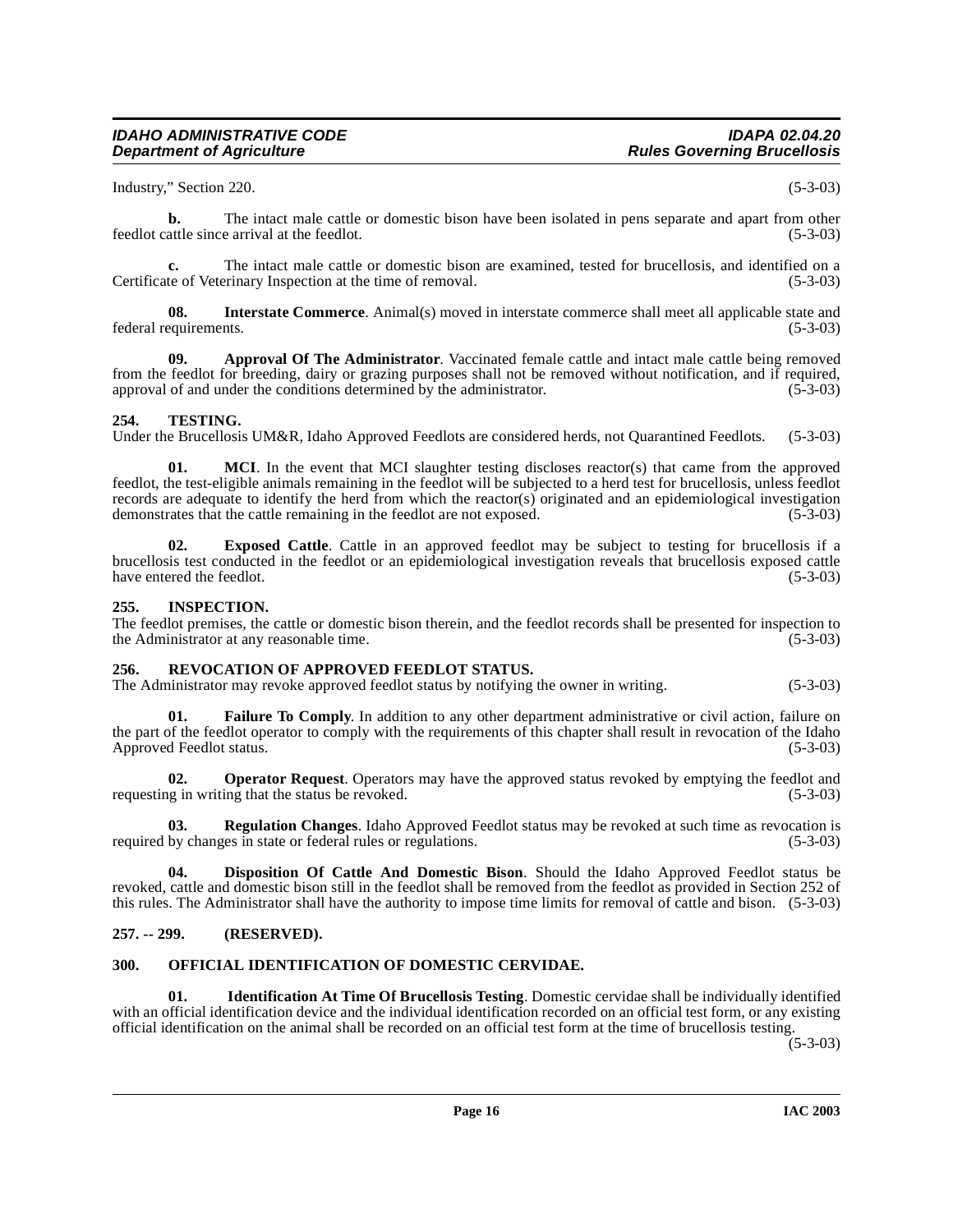# **IDAHO ADMINISTRATIVE CODE IDAPA 02.04.20**

Industry," Section 220. (5-3-03)

**b.** The intact male cattle or domestic bison have been isolated in pens separate and apart from other feedlot cattle since arrival at the feedlot. (5-3-03)

The intact male cattle or domestic bison are examined, tested for brucellosis, and identified on a erinary Inspection at the time of removal. (5-3-03) Certificate of Veterinary Inspection at the time of removal.

<span id="page-15-9"></span>**08. Interstate Commerce**. Animal(s) moved in interstate commerce shall meet all applicable state and federal requirements. (5-3-03)

<span id="page-15-5"></span>**09. Approval Of The Administrator**. Vaccinated female cattle and intact male cattle being removed from the feedlot for breeding, dairy or grazing purposes shall not be removed without notification, and if required, approval of and under the conditions determined by the administrator. (5-3-03) approval of and under the conditions determined by the administrator.

# <span id="page-15-12"></span><span id="page-15-0"></span>**254. TESTING.**

Under the Brucellosis UM&R, Idaho Approved Feedlots are considered herds, not Quarantined Feedlots. (5-3-03)

**01.** MCI. In the event that MCI slaughter testing discloses reactor(s) that came from the approved feedlot, the test-eligible animals remaining in the feedlot will be subjected to a herd test for brucellosis, unless feedlot records are adequate to identify the herd from which the reactor(s) originated and an epidemiological investigation demonstrates that the cattle remaining in the feedlot are not exposed.  $(5-3-03)$ demonstrates that the cattle remaining in the feedlot are not exposed.

**02. Exposed Cattle**. Cattle in an approved feedlot may be subject to testing for brucellosis if a brucellosis test conducted in the feedlot or an epidemiological investigation reveals that brucellosis exposed cattle have entered the feedlot. (5-3-03)

#### <span id="page-15-8"></span><span id="page-15-1"></span>**255. INSPECTION.**

The feedlot premises, the cattle or domestic bison therein, and the feedlot records shall be presented for inspection to the Administrator at any reasonable time. (5-3-03)

#### <span id="page-15-11"></span><span id="page-15-2"></span>**256. REVOCATION OF APPROVED FEEDLOT STATUS.**

The Administrator may revoke approved feedlot status by notifying the owner in writing. (5-3-03)

**Failure To Comply**. In addition to any other department administrative or civil action, failure on the part of the feedlot operator to comply with the requirements of this chapter shall result in revocation of the Idaho Approved Feedlot status. (5-3-03)

**02. Operator Request**. Operators may have the approved status revoked by emptying the feedlot and is in writing that the status be revoked. requesting in writing that the status be revoked.

**03. Regulation Changes**. Idaho Approved Feedlot status may be revoked at such time as revocation is required by changes in state or federal rules or regulations. (5-3-03)

<span id="page-15-6"></span>**04. Disposition Of Cattle And Domestic Bison**. Should the Idaho Approved Feedlot status be revoked, cattle and domestic bison still in the feedlot shall be removed from the feedlot as provided in Section 252 of this rules. The Administrator shall have the authority to impose time limits for removal of cattle and bison. (5-3-03)

# <span id="page-15-3"></span>**257. -- 299. (RESERVED).**

# <span id="page-15-10"></span><span id="page-15-4"></span>**300. OFFICIAL IDENTIFICATION OF DOMESTIC CERVIDAE.**

<span id="page-15-7"></span>**01. Identification At Time Of Brucellosis Testing**. Domestic cervidae shall be individually identified with an official identification device and the individual identification recorded on an official test form, or any existing official identification on the animal shall be recorded on an official test form at the time of brucellosis testing.

 $(5 - 3 - 03)$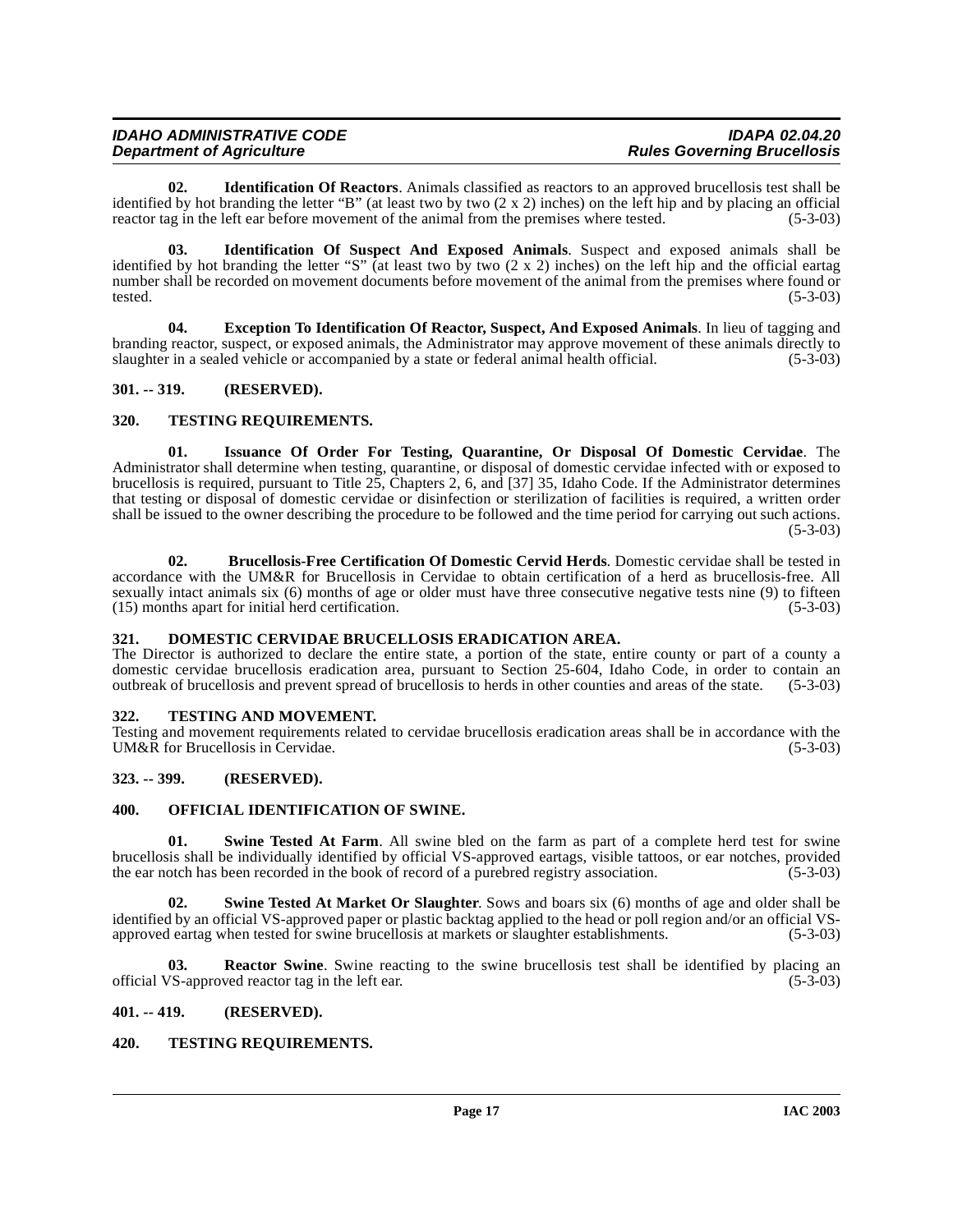| <b>IDAHO ADMINISTRATIVE CODE</b> | <b>IDAPA 02.04.20</b>              |
|----------------------------------|------------------------------------|
| <b>Department of Agriculture</b> | <b>Rules Governing Brucellosis</b> |

<span id="page-16-11"></span>**02. Identification Of Reactors**. Animals classified as reactors to an approved brucellosis test shall be identified by hot branding the letter "B" (at least two by two  $(2 \times 2)$  inches) on the left hip and by placing an official reactor tag in the left ear before movement of the animal from the premises where tested. (5-3-03)

<span id="page-16-12"></span>**03. Identification Of Suspect And Exposed Animals**. Suspect and exposed animals shall be identified by hot branding the letter "S" (at least two by two  $(2 \times 2)$  inches) on the left hip and the official eartag number shall be recorded on movement documents before movement of the animal from the premises where found or<br>(5-3-03) tested.  $(5-3-03)$ 

<span id="page-16-10"></span>**04. Exception To Identification Of Reactor, Suspect, And Exposed Animals**. In lieu of tagging and branding reactor, suspect, or exposed animals, the Administrator may approve movement of these animals directly to slaughter in a sealed vehicle or accompanied by a state or federal animal health official. (5-3-03) slaughter in a sealed vehicle or accompanied by a state or federal animal health official.

# <span id="page-16-0"></span>**301. -- 319. (RESERVED).**

# <span id="page-16-18"></span><span id="page-16-1"></span>**320. TESTING REQUIREMENTS.**

<span id="page-16-13"></span>**01. Issuance Of Order For Testing, Quarantine, Or Disposal Of Domestic Cervidae**. The Administrator shall determine when testing, quarantine, or disposal of domestic cervidae infected with or exposed to brucellosis is required, pursuant to Title 25, Chapters 2, 6, and [37] 35, Idaho Code. If the Administrator determines that testing or disposal of domestic cervidae or disinfection or sterilization of facilities is required, a written order shall be issued to the owner describing the procedure to be followed and the time period for carrying out such actions.  $(5-3-03)$ 

<span id="page-16-8"></span>**02. Brucellosis-Free Certification Of Domestic Cervid Herds**. Domestic cervidae shall be tested in accordance with the UM&R for Brucellosis in Cervidae to obtain certification of a herd as brucellosis-free. All sexually intact animals six (6) months of age or older must have three consecutive negative tests nine (9) to fifteen (15) months apart for initial herd certification. (5-3-03)  $(15)$  months apart for initial herd certification.

# <span id="page-16-9"></span><span id="page-16-2"></span>**321. DOMESTIC CERVIDAE BRUCELLOSIS ERADICATION AREA.**

The Director is authorized to declare the entire state, a portion of the state, entire county or part of a county a domestic cervidae brucellosis eradication area, pursuant to Section 25-604, Idaho Code, in order to contain an outbreak of brucellosis and prevent spread of brucellosis to herds in other counties and areas of the state. (5-3-03)

# <span id="page-16-17"></span><span id="page-16-3"></span>**322. TESTING AND MOVEMENT.**

Testing and movement requirements related to cervidae brucellosis eradication areas shall be in accordance with the UM&R for Brucellosis in Cervidae. (5-3-03)

# <span id="page-16-4"></span>**323. -- 399. (RESERVED).**

# <span id="page-16-14"></span><span id="page-16-5"></span>**400. OFFICIAL IDENTIFICATION OF SWINE.**

<span id="page-16-15"></span>**01. Swine Tested At Farm**. All swine bled on the farm as part of a complete herd test for swine brucellosis shall be individually identified by official VS-approved eartags, visible tattoos, or ear notches, provided the ear notch has been recorded in the book of record of a purebred registry association.

<span id="page-16-16"></span>**02. Swine Tested At Market Or Slaughter**. Sows and boars six (6) months of age and older shall be identified by an official VS-approved paper or plastic backtag applied to the head or poll region and/or an official VSapproved eartag when tested for swine brucellosis at markets or slaughter establishments. (5-3-03)

**03. Reactor Swine**. Swine reacting to the swine brucellosis test shall be identified by placing an official VS-approved reactor tag in the left ear. (5-3-03)

# <span id="page-16-6"></span>**401. -- 419. (RESERVED).**

# <span id="page-16-19"></span><span id="page-16-7"></span>**420. TESTING REQUIREMENTS.**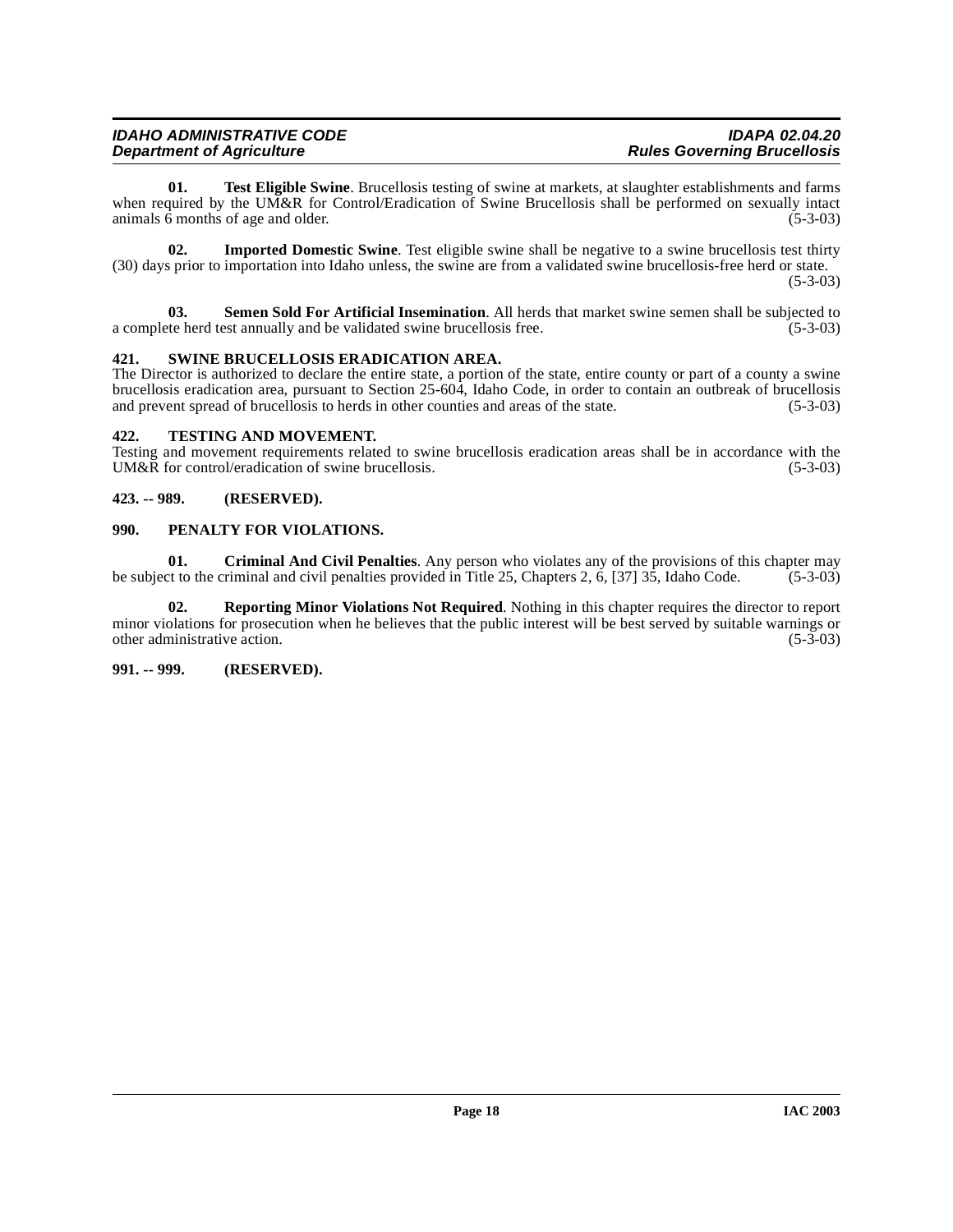| <b>IDAHO ADMINISTRATIVE CODE</b> | <b>IDAPA 02.04.20</b>              |
|----------------------------------|------------------------------------|
| <b>Department of Agriculture</b> | <b>Rules Governing Brucellosis</b> |

<span id="page-17-9"></span>**01. Test Eligible Swine**. Brucellosis testing of swine at markets, at slaughter establishments and farms when required by the UM&R for Control/Eradication of Swine Brucellosis shall be performed on sexually intact animals 6 months of age and older. (5-3-03) animals  $\overline{6}$  months of age and older.

<span id="page-17-5"></span>**02. Imported Domestic Swine**. Test eligible swine shall be negative to a swine brucellosis test thirty (30) days prior to importation into Idaho unless, the swine are from a validated swine brucellosis-free herd or state. (5-3-03)

<span id="page-17-7"></span>**03. Semen Sold For Artificial Insemination**. All herds that market swine semen shall be subjected to a complete herd test annually and be validated swine brucellosis free. (5-3-03)

#### <span id="page-17-8"></span><span id="page-17-0"></span>**421. SWINE BRUCELLOSIS ERADICATION AREA.**

The Director is authorized to declare the entire state, a portion of the state, entire county or part of a county a swine brucellosis eradication area, pursuant to Section 25-604, Idaho Code, in order to contain an outbreak of brucellosis and prevent spread of brucellosis to herds in other counties and areas of the state. (5-3-03)

#### <span id="page-17-10"></span><span id="page-17-1"></span>**422. TESTING AND MOVEMENT.**

Testing and movement requirements related to swine brucellosis eradication areas shall be in accordance with the UM&R for control/eradication of swine brucellosis. (5-3-03)

#### <span id="page-17-2"></span>**423. -- 989. (RESERVED).**

#### <span id="page-17-6"></span><span id="page-17-3"></span>**990. PENALTY FOR VIOLATIONS.**

**01.** Criminal And Civil Penalties. Any person who violates any of the provisions of this chapter may et to the criminal and civil penalties provided in Title 25, Chapters 2, 6, [37] 35, Idaho Code. (5-3-03) be subject to the criminal and civil penalties provided in Title 25, Chapters 2, 6, [37]  $3\overline{5}$ , Idaho Code.

**02. Reporting Minor Violations Not Required**. Nothing in this chapter requires the director to report minor violations for prosecution when he believes that the public interest will be best served by suitable warnings or other administrative action. (5-3-03) other administrative action.

#### <span id="page-17-4"></span>**991. -- 999. (RESERVED).**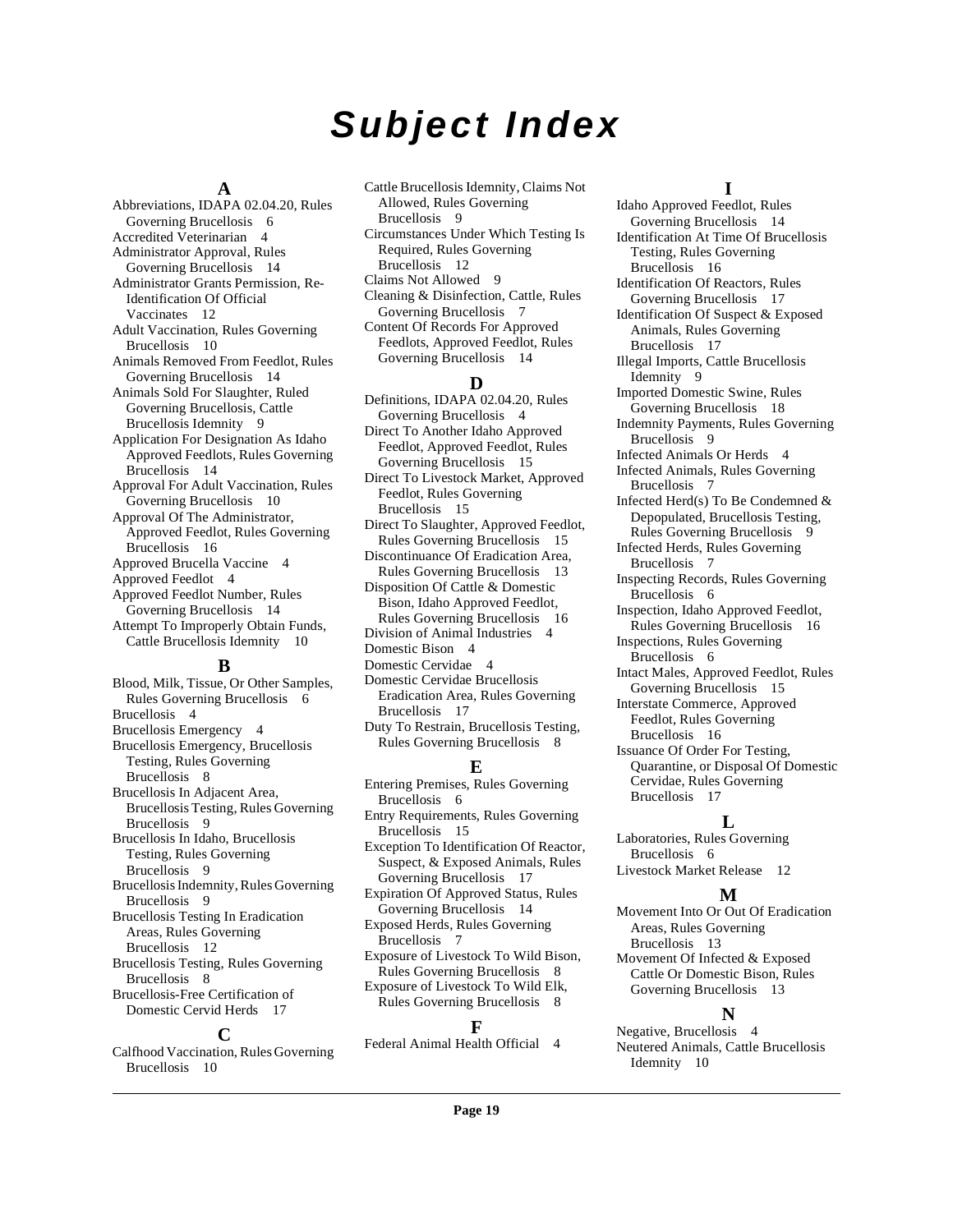# **Subject Index**

#### **A**

Abbreviations, IDAPA 02.04.20, Rules Governing Brucellosis [6](#page-5-6) Accredited Veterinarian [4](#page-3-2) Administrator Approval, Rules Governing Brucellosis [14](#page-13-8) Administrator Grants Permission, Re-Identification Of Official Vaccinates [12](#page-11-4) Adult Vaccination, Rules Governing Brucellosis [10](#page-9-3) Animals Removed From Feedlot, Rules Governing Brucellosis [14](#page-13-9) Animals Sold For Slaughter, Ruled Governing Brucellosis, Cattle Brucellosis Idemnity [9](#page-8-2) Application For Designation As Idaho Approved Feedlots, Rules Governing Brucellosis [14](#page-13-10) Approval For Adult Vaccination, Rules Governing Brucellosis [10](#page-9-4) Approval Of The Administrator, Approved Feedlot, Rules Governing Brucellosis [16](#page-15-5) Approved Brucella Vaccine [4](#page-3-3) Approved Feedlot [4](#page-3-4) Approved Feedlot Number, Rules Governing Brucellosis [14](#page-13-11) Attempt To Improperly Obtain Funds, Cattle Brucellosis Idemnity [10](#page-9-5) **B**

Blood, Milk, Tissue, Or Other Samples, Rules Governing Brucellosis [6](#page-5-7) Brucellosis [4](#page-3-5) Brucellosis Emergency [4](#page-3-6) Brucellosis Emergency, Brucellosis Testing, Rules Governing Brucellosis [8](#page-7-2) Brucellosis In Adjacent Area, Brucellosis Testing, Rules Governing Brucellosis [9](#page-8-3) Brucellosis In Idaho, Brucellosis Testing, Rules Governing Brucellosis [9](#page-8-4) Brucellosis Indemnity, Rules Governing Brucellosis [9](#page-8-5) Brucellosis Testing In Eradication Areas, Rules Governing Brucellosis [12](#page-11-5) Brucellosis Testing, Rules Governing Brucellosis [8](#page-7-3) Brucellosis-Free Certification of Domestic Cervid Herds [17](#page-16-8)

#### **C**

Calfhood Vaccination, Rules Governing Brucellosis [10](#page-9-6)

Cattle Brucellosis Idemnity, Claims Not Allowed, Rules Governing Brucellosis [9](#page-8-6)

- Circumstances Under Which Testing Is Required, Rules Governing Brucellosis [12](#page-11-6)
- Claims Not Allowed [9](#page-8-7)
- Cleaning & Disinfection, Cattle, Rules Governing Brucellosis [7](#page-6-4) Content Of Records For Approved
- Feedlots, Approved Feedlot, Rules Governing Brucellosis [14](#page-13-12)

#### **D**

Definitions, IDAPA 02.04.20, Rules Governing Brucellosis [4](#page-3-7) Direct To Another Idaho Approved Feedlot, Approved Feedlot, Rules Governing Brucellosis [15](#page-14-3)

Direct To Livestock Market, Approved Feedlot, Rules Governing Brucellosis [15](#page-14-4)

Direct To Slaughter, Approved Feedlot, Rules Governing Brucellosis [15](#page-14-5)

Discontinuance Of Eradication Area, Rules Governing Brucellosis [13](#page-12-4)

Disposition Of Cattle & Domestic Bison, Idaho Approved Feedlot, Rules Governing Brucellosis [16](#page-15-6)

- Division of Animal Industries [4](#page-3-8) Domestic Bison [4](#page-3-9)
- Domestic Cervidae [4](#page-3-10)
- Domestic Cervidae Brucellosis Eradication Area, Rules Governing Brucellosis [17](#page-16-9)
- Duty To Restrain, Brucellosis Testing, Rules Governing Brucellosis [8](#page-7-4)

#### **E**

Entering Premises, Rules Governing Brucellosis [6](#page-5-8) Entry Requirements, Rules Governing Brucellosis [15](#page-14-6) Exception To Identification Of Reactor, Suspect, & Exposed Animals, Rules Governing Brucellosis [17](#page-16-10) Expiration Of Approved Status, Rules Governing Brucellosis [14](#page-13-13) Exposed Herds, Rules Governing Brucellosis [7](#page-6-5) Exposure of Livestock To Wild Bison, Rules Governing Brucellosis [8](#page-7-5)

Exposure of Livestock To Wild Elk, Rules Governing Brucellosis [8](#page-7-6)

#### **F**

Federal Animal Health Official [4](#page-3-11)

#### **I**

Idaho Approved Feedlot, Rules Governing Brucellosis [14](#page-13-14) Identification At Time Of Brucellosis Testing, Rules Governing Brucellosis [16](#page-15-7) Identification Of Reactors, Rules Governing Brucellosis [17](#page-16-11) Identification Of Suspect & Exposed Animals, Rules Governing Brucellosis [17](#page-16-12) Illegal Imports, Cattle Brucellosis Idemnity [9](#page-8-8) Imported Domestic Swine, Rules Governing Brucellosis [18](#page-17-5) Indemnity Payments, Rules Governing Brucellosis [9](#page-8-9) Infected Animals Or Herds [4](#page-3-12) Infected Animals, Rules Governing Brucellosis [7](#page-6-6) Infected Herd(s) To Be Condemned & Depopulated, Brucellosis Testing, Rules Governing Brucellosis [9](#page-8-10) Infected Herds, Rules Governing Brucellosis [7](#page-6-7) Inspecting Records, Rules Governing Brucellosis [6](#page-5-9) Inspection, Idaho Approved Feedlot, Rules Governing Brucellosis [16](#page-15-8) Inspections, Rules Governing Brucellosis [6](#page-5-10) Intact Males, Approved Feedlot, Rules Governing Brucellosis [15](#page-14-7) Interstate Commerce, Approved Feedlot, Rules Governing Brucellosis [16](#page-15-9) Issuance Of Order For Testing, Quarantine, or Disposal Of Domestic Cervidae, Rules Governing Brucellosis [17](#page-16-13)

#### **L**

Laboratories, Rules Governing Brucellosis [6](#page-5-11)

Livestock Market Release [12](#page-11-7)

#### **M**

Movement Into Or Out Of Eradication Areas, Rules Governing Brucellosis [13](#page-12-5)

Movement Of Infected & Exposed Cattle Or Domestic Bison, Rules Governing Brucellosis [13](#page-12-6)

# **N**

Negative, Brucellosis [4](#page-3-13) Neutered Animals, Cattle Brucellosis Idemnity [10](#page-9-7)